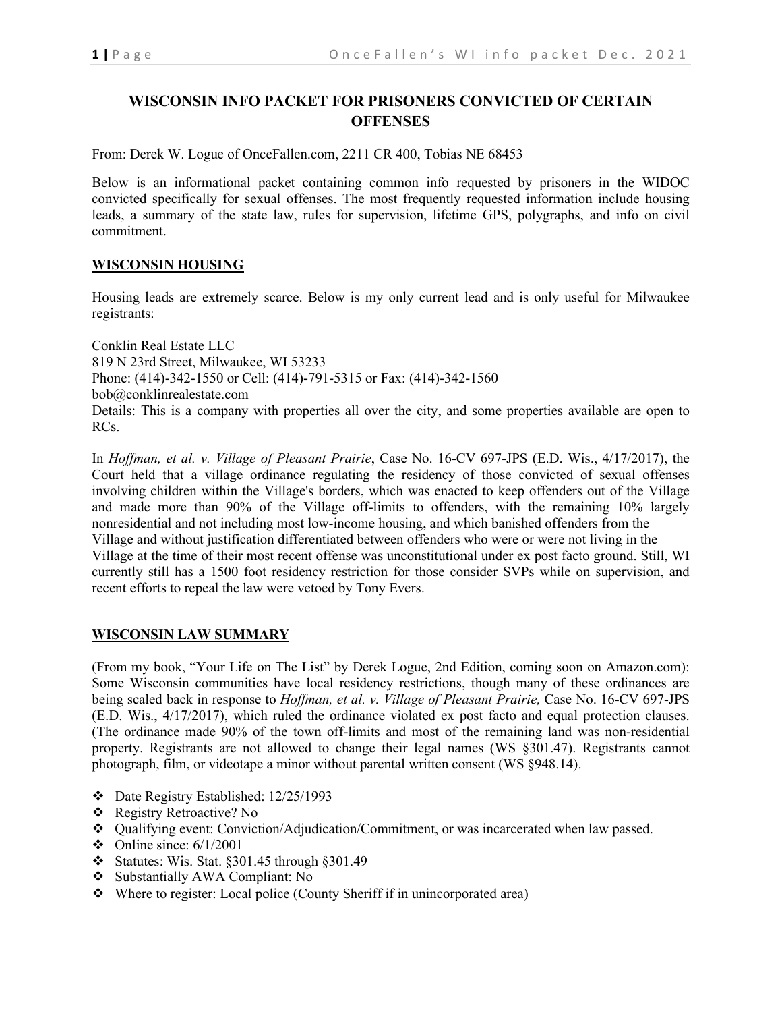# **WISCONSIN INFO PACKET FOR PRISONERS CONVICTED OF CERTAIN OFFENSES**

From: Derek W. Logue of OnceFallen.com, 2211 CR 400, Tobias NE 68453

Below is an informational packet containing common info requested by prisoners in the WIDOC convicted specifically for sexual offenses. The most frequently requested information include housing leads, a summary of the state law, rules for supervision, lifetime GPS, polygraphs, and info on civil commitment.

# **WISCONSIN HOUSING**

Housing leads are extremely scarce. Below is my only current lead and is only useful for Milwaukee registrants:

Conklin Real Estate LLC 819 N 23rd Street, Milwaukee, WI 53233 Phone: (414)-342-1550 or Cell: (414)-791-5315 or Fax: (414)-342-1560 bob@conklinrealestate.com Details: This is a company with properties all over the city, and some properties available are open to RCs.

In *Hoffman, et al. v. Village of Pleasant Prairie*, Case No. 16-CV 697-JPS (E.D. Wis., 4/17/2017), the Court held that a village ordinance regulating the residency of those convicted of sexual offenses involving children within the Village's borders, which was enacted to keep offenders out of the Village and made more than 90% of the Village off-limits to offenders, with the remaining 10% largely nonresidential and not including most low-income housing, and which banished offenders from the Village and without justification differentiated between offenders who were or were not living in the Village at the time of their most recent offense was unconstitutional under ex post facto ground. Still, WI currently still has a 1500 foot residency restriction for those consider SVPs while on supervision, and recent efforts to repeal the law were vetoed by Tony Evers.

### **WISCONSIN LAW SUMMARY**

(From my book, "Your Life on The List" by Derek Logue, 2nd Edition, coming soon on Amazon.com): Some Wisconsin communities have local residency restrictions, though many of these ordinances are being scaled back in response to *Hoffman, et al. v. Village of Pleasant Prairie,* Case No. 16-CV 697-JPS (E.D. Wis., 4/17/2017), which ruled the ordinance violated ex post facto and equal protection clauses. (The ordinance made 90% of the town off-limits and most of the remaining land was non-residential property. Registrants are not allowed to change their legal names (WS §301.47). Registrants cannot photograph, film, or videotape a minor without parental written consent (WS §948.14).

- Date Registry Established: 12/25/1993
- Registry Retroactive? No
- Qualifying event: Conviction/Adjudication/Commitment, or was incarcerated when law passed.
- $\div$  Online since: 6/1/2001
- Statutes: Wis. Stat.  $\S 301.45$  through  $\S 301.49$
- Substantially AWA Compliant: No
- Where to register: Local police (County Sheriff if in unincorporated area)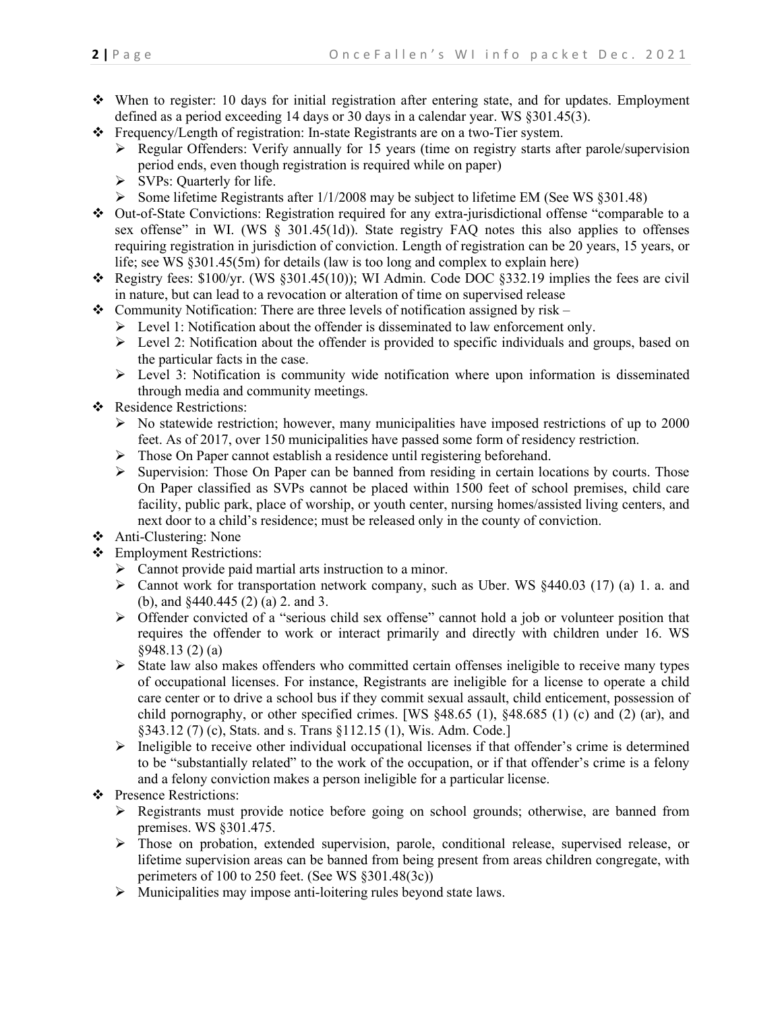- When to register: 10 days for initial registration after entering state, and for updates. Employment defined as a period exceeding 14 days or 30 days in a calendar year. WS §301.45(3).
- Frequency/Length of registration: In-state Registrants are on a two-Tier system.
	- $\triangleright$  Regular Offenders: Verify annually for 15 years (time on registry starts after parole/supervision period ends, even though registration is required while on paper)
	- $\triangleright$  SVPs: Quarterly for life.
	- Some lifetime Registrants after  $1/1/2008$  may be subject to lifetime EM (See WS §301.48)
- Out-of-State Convictions: Registration required for any extra-jurisdictional offense "comparable to a sex offense" in WI. (WS § 301.45(1d)). State registry FAQ notes this also applies to offenses requiring registration in jurisdiction of conviction. Length of registration can be 20 years, 15 years, or life; see WS §301.45(5m) for details (law is too long and complex to explain here)
- Registry fees: \$100/yr. (WS §301.45(10)); WI Admin. Code DOC §332.19 implies the fees are civil in nature, but can lead to a revocation or alteration of time on supervised release
- Community Notification: There are three levels of notification assigned by risk
	- $\triangleright$  Level 1: Notification about the offender is disseminated to law enforcement only.
	- $\triangleright$  Level 2: Notification about the offender is provided to specific individuals and groups, based on the particular facts in the case.
	- $\triangleright$  Level 3: Notification is community wide notification where upon information is disseminated through media and community meetings.
- Residence Restrictions:
	- $\triangleright$  No statewide restriction; however, many municipalities have imposed restrictions of up to 2000 feet. As of 2017, over 150 municipalities have passed some form of residency restriction.
	- > Those On Paper cannot establish a residence until registering beforehand.
	- $\triangleright$  Supervision: Those On Paper can be banned from residing in certain locations by courts. Those On Paper classified as SVPs cannot be placed within 1500 feet of school premises, child care facility, public park, place of worship, or youth center, nursing homes/assisted living centers, and next door to a child's residence; must be released only in the county of conviction.
- Anti-Clustering: None
- Employment Restrictions:
	- Cannot provide paid martial arts instruction to a minor.
	- $\triangleright$  Cannot work for transportation network company, such as Uber. WS §440.03 (17) (a) 1. a. and (b), and §440.445 (2) (a) 2. and 3.
	- Offender convicted of a "serious child sex offense" cannot hold a job or volunteer position that requires the offender to work or interact primarily and directly with children under 16. WS §948.13 (2) (a)
	- $\triangleright$  State law also makes offenders who committed certain offenses ineligible to receive many types of occupational licenses. For instance, Registrants are ineligible for a license to operate a child care center or to drive a school bus if they commit sexual assault, child enticement, possession of child pornography, or other specified crimes. [WS §48.65 (1), §48.685 (1) (c) and (2) (ar), and §343.12 (7) (c), Stats. and s. Trans §112.15 (1), Wis. Adm. Code.]
	- $\triangleright$  Ineligible to receive other individual occupational licenses if that offender's crime is determined to be "substantially related" to the work of the occupation, or if that offender's crime is a felony and a felony conviction makes a person ineligible for a particular license.
- Presence Restrictions:
	- $\triangleright$  Registrants must provide notice before going on school grounds; otherwise, are banned from premises. WS §301.475.
	- > Those on probation, extended supervision, parole, conditional release, supervised release, or lifetime supervision areas can be banned from being present from areas children congregate, with perimeters of 100 to 250 feet. (See WS §301.48(3c))
	- $\triangleright$  Municipalities may impose anti-loitering rules beyond state laws.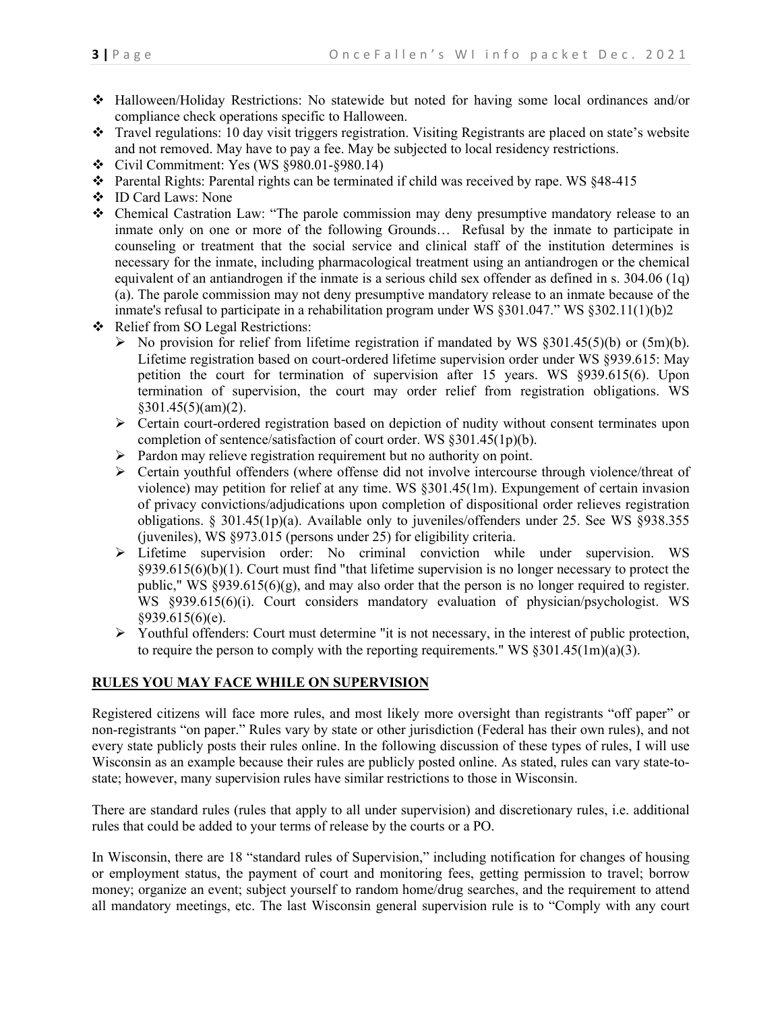- Halloween/Holiday Restrictions: No statewide but noted for having some local ordinances and/or compliance check operations specific to Halloween.
- Travel regulations: 10 day visit triggers registration. Visiting Registrants are placed on state's website and not removed. May have to pay a fee. May be subjected to local residency restrictions.
- $\div$  Civil Commitment: Yes (WS  $\S 980.01 \S 980.14$ )
- Parental Rights: Parental rights can be terminated if child was received by rape. WS §48-415
- ID Card Laws: None
- Chemical Castration Law: "The parole commission may deny presumptive mandatory release to an inmate only on one or more of the following Grounds… Refusal by the inmate to participate in counseling or treatment that the social service and clinical staff of the institution determines is necessary for the inmate, including pharmacological treatment using an antiandrogen or the chemical equivalent of an antiandrogen if the inmate is a serious child sex offender as defined in s. 304.06 (1q) (a). The parole commission may not deny presumptive mandatory release to an inmate because of the inmate's refusal to participate in a rehabilitation program under WS §301.047." WS §302.11(1)(b)2
- Relief from SO Legal Restrictions:
	- $\triangleright$  No provision for relief from lifetime registration if mandated by WS §301.45(5)(b) or (5m)(b). Lifetime registration based on court-ordered lifetime supervision order under WS §939.615: May petition the court for termination of supervision after 15 years. WS §939.615(6). Upon termination of supervision, the court may order relief from registration obligations. WS  $§301.45(5)(am)(2).$
	- $\triangleright$  Certain court-ordered registration based on depiction of nudity without consent terminates upon completion of sentence/satisfaction of court order. WS §301.45(1p)(b).
	- $\triangleright$  Pardon may relieve registration requirement but no authority on point.
	- $\triangleright$  Certain youthful offenders (where offense did not involve intercourse through violence/threat of violence) may petition for relief at any time. WS §301.45(1m). Expungement of certain invasion of privacy convictions/adjudications upon completion of dispositional order relieves registration obligations. § 301.45(1p)(a). Available only to juveniles/offenders under 25. See WS §938.355 (juveniles), WS §973.015 (persons under 25) for eligibility criteria.
	- Lifetime supervision order: No criminal conviction while under supervision. WS §939.615(6)(b)(1). Court must find "that lifetime supervision is no longer necessary to protect the public," WS §939.615(6)(g), and may also order that the person is no longer required to register. WS §939.615(6)(i). Court considers mandatory evaluation of physician/psychologist. WS §939.615(6)(e).
	- Youthful offenders: Court must determine "it is not necessary, in the interest of public protection, to require the person to comply with the reporting requirements." WS  $\S 301.45(\text{Im})(a)(3)$ .

#### **RULES YOU MAY FACE WHILE ON SUPERVISION**

Registered citizens will face more rules, and most likely more oversight than registrants "off paper" or non-registrants "on paper." Rules vary by state or other jurisdiction (Federal has their own rules), and not every state publicly posts their rules online. In the following discussion of these types of rules, I will use Wisconsin as an example because their rules are publicly posted online. As stated, rules can vary state-tostate; however, many supervision rules have similar restrictions to those in Wisconsin.

There are standard rules (rules that apply to all under supervision) and discretionary rules, i.e. additional rules that could be added to your terms of release by the courts or a PO.

In Wisconsin, there are 18 "standard rules of Supervision," including notification for changes of housing or employment status, the payment of court and monitoring fees, getting permission to travel; borrow money; organize an event; subject yourself to random home/drug searches, and the requirement to attend all mandatory meetings, etc. The last Wisconsin general supervision rule is to "Comply with any court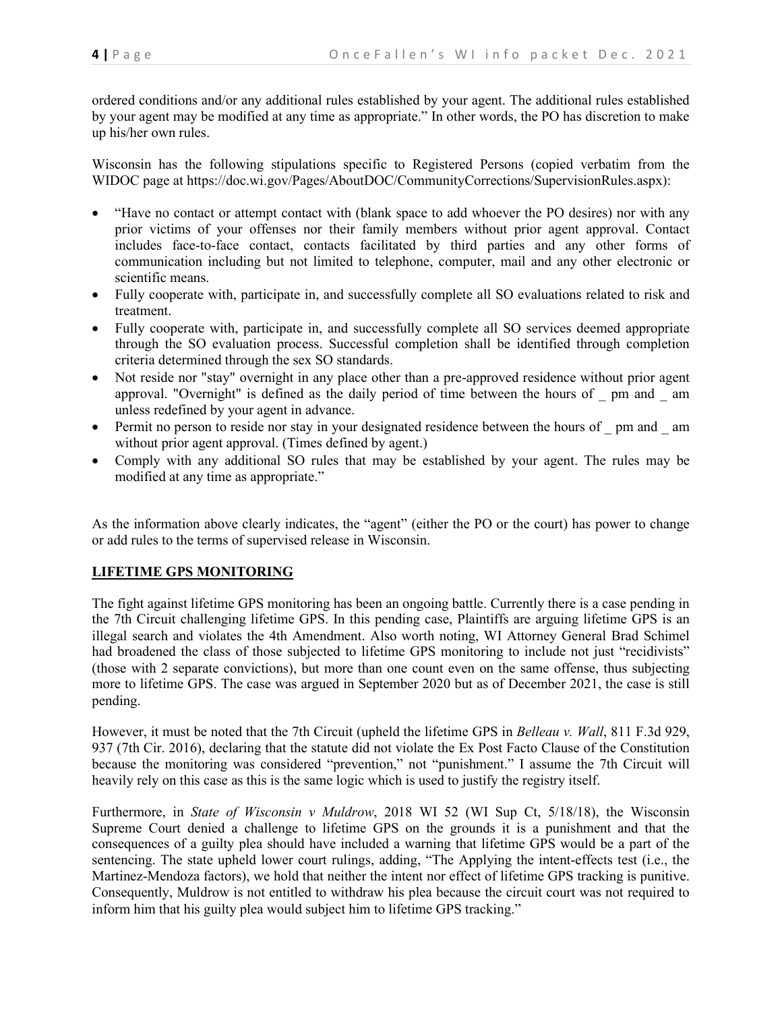ordered conditions and/or any additional rules established by your agent. The additional rules established by your agent may be modified at any time as appropriate." In other words, the PO has discretion to make up his/her own rules.

Wisconsin has the following stipulations specific to Registered Persons (copied verbatim from the WIDOC page at https://doc.wi.gov/Pages/AboutDOC/CommunityCorrections/SupervisionRules.aspx):

- "Have no contact or attempt contact with (blank space to add whoever the PO desires) nor with any prior victims of your offenses nor their family members without prior agent approval. Contact includes face-to-face contact, contacts facilitated by third parties and any other forms of communication including but not limited to telephone, computer, mail and any other electronic or scientific means.
- Fully cooperate with, participate in, and successfully complete all SO evaluations related to risk and treatment.
- Fully cooperate with, participate in, and successfully complete all SO services deemed appropriate through the SO evaluation process. Successful completion shall be identified through completion criteria determined through the sex SO standards.
- Not reside nor "stay" overnight in any place other than a pre-approved residence without prior agent approval. "Overnight" is defined as the daily period of time between the hours of \_ pm and \_ am unless redefined by your agent in advance.
- Permit no person to reside nor stay in your designated residence between the hours of pm and am without prior agent approval. (Times defined by agent.)
- Comply with any additional SO rules that may be established by your agent. The rules may be modified at any time as appropriate."

As the information above clearly indicates, the "agent" (either the PO or the court) has power to change or add rules to the terms of supervised release in Wisconsin.

# **LIFETIME GPS MONITORING**

The fight against lifetime GPS monitoring has been an ongoing battle. Currently there is a case pending in the 7th Circuit challenging lifetime GPS. In this pending case, Plaintiffs are arguing lifetime GPS is an illegal search and violates the 4th Amendment. Also worth noting, WI Attorney General Brad Schimel had broadened the class of those subjected to lifetime GPS monitoring to include not just "recidivists" (those with 2 separate convictions), but more than one count even on the same offense, thus subjecting more to lifetime GPS. The case was argued in September 2020 but as of December 2021, the case is still pending.

However, it must be noted that the 7th Circuit (upheld the lifetime GPS in *Belleau v. Wall*, 811 F.3d 929, 937 (7th Cir. 2016), declaring that the statute did not violate the Ex Post Facto Clause of the Constitution because the monitoring was considered "prevention," not "punishment." I assume the 7th Circuit will heavily rely on this case as this is the same logic which is used to justify the registry itself.

Furthermore, in *State of Wisconsin v Muldrow*, 2018 WI 52 (WI Sup Ct, 5/18/18), the Wisconsin Supreme Court denied a challenge to lifetime GPS on the grounds it is a punishment and that the consequences of a guilty plea should have included a warning that lifetime GPS would be a part of the sentencing. The state upheld lower court rulings, adding, "The Applying the intent-effects test (i.e., the Martinez-Mendoza factors), we hold that neither the intent nor effect of lifetime GPS tracking is punitive. Consequently, Muldrow is not entitled to withdraw his plea because the circuit court was not required to inform him that his guilty plea would subject him to lifetime GPS tracking."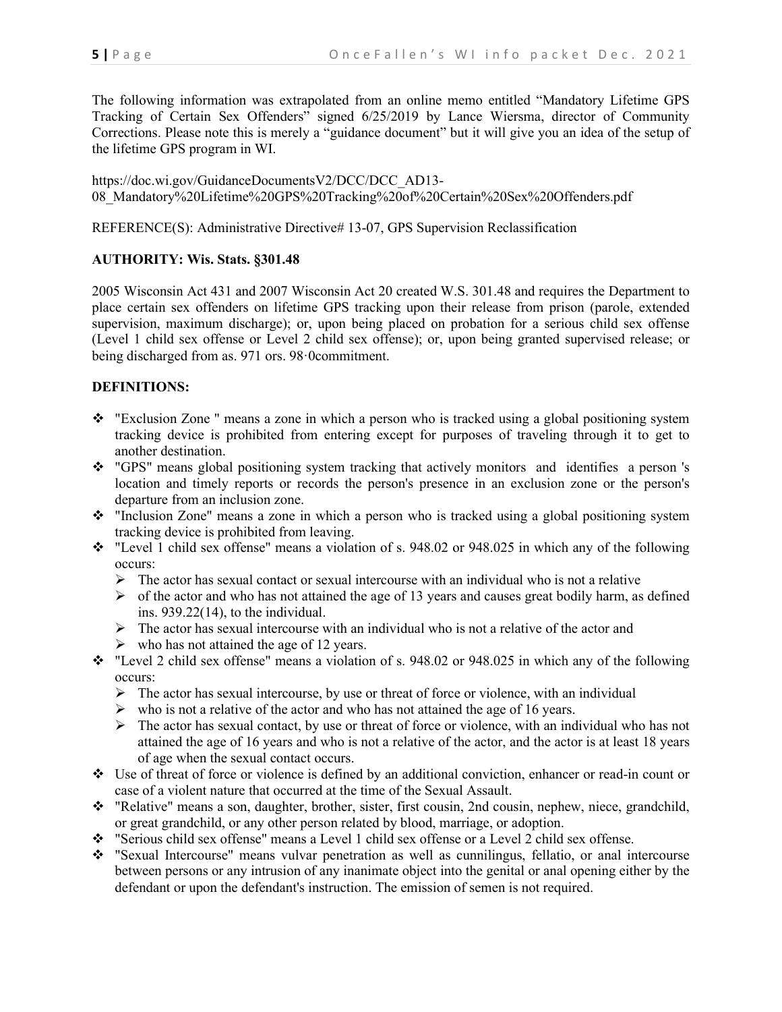The following information was extrapolated from an online memo entitled "Mandatory Lifetime GPS Tracking of Certain Sex Offenders" signed 6/25/2019 by Lance Wiersma, director of Community Corrections. Please note this is merely a "guidance document" but it will give you an idea of the setup of the lifetime GPS program in WI.

https://doc.wi.gov/GuidanceDocumentsV2/DCC/DCC\_AD13- 08\_Mandatory%20Lifetime%20GPS%20Tracking%20of%20Certain%20Sex%20Offenders.pdf

REFERENCE(S): Administrative Directive# 13-07, GPS Supervision Reclassification

# **AUTHORITY: Wis. Stats. §301.48**

2005 Wisconsin Act 431 and 2007 Wisconsin Act 20 created W.S. 301.48 and requires the Department to place certain sex offenders on lifetime GPS tracking upon their release from prison (parole, extended supervision, maximum discharge); or, upon being placed on probation for a serious child sex offense (Level 1 child sex offense or Level 2 child sex offense); or, upon being granted supervised release; or being discharged from as. 971 ors. 98·0commitment.

# **DEFINITIONS:**

- \* "Exclusion Zone " means a zone in which a person who is tracked using a global positioning system tracking device is prohibited from entering except for purposes of traveling through it to get to another destination.
- "GPS" means global positioning system tracking that actively monitors and identifies a person 's location and timely reports or records the person's presence in an exclusion zone or the person's departure from an inclusion zone.
- \* "Inclusion Zone" means a zone in which a person who is tracked using a global positioning system tracking device is prohibited from leaving.
- "Level 1 child sex offense" means a violation of s. 948.02 or 948.025 in which any of the following occurs:
	- $\triangleright$  The actor has sexual contact or sexual intercourse with an individual who is not a relative
	- $\triangleright$  of the actor and who has not attained the age of 13 years and causes great bodily harm, as defined ins. 939.22(14), to the individual.
	- $\triangleright$  The actor has sexual intercourse with an individual who is not a relative of the actor and
	- $\triangleright$  who has not attained the age of 12 years.
- "Level 2 child sex offense" means a violation of s. 948.02 or 948.025 in which any of the following occurs:
	- $\triangleright$  The actor has sexual intercourse, by use or threat of force or violence, with an individual
	- $\triangleright$  who is not a relative of the actor and who has not attained the age of 16 years.
	- $\triangleright$  The actor has sexual contact, by use or threat of force or violence, with an individual who has not attained the age of 16 years and who is not a relative of the actor, and the actor is at least 18 years of age when the sexual contact occurs.
- Use of threat of force or violence is defined by an additional conviction, enhancer or read-in count or case of a violent nature that occurred at the time of the Sexual Assault.
- \* "Relative" means a son, daughter, brother, sister, first cousin, 2nd cousin, nephew, niece, grandchild, or great grandchild, or any other person related by blood, marriage, or adoption.
- "Serious child sex offense" means a Level 1 child sex offense or a Level 2 child sex offense.
- "Sexual Intercourse" means vulvar penetration as well as cunnilingus, fellatio, or anal intercourse between persons or any intrusion of any inanimate object into the genital or anal opening either by the defendant or upon the defendant's instruction. The emission of semen is not required.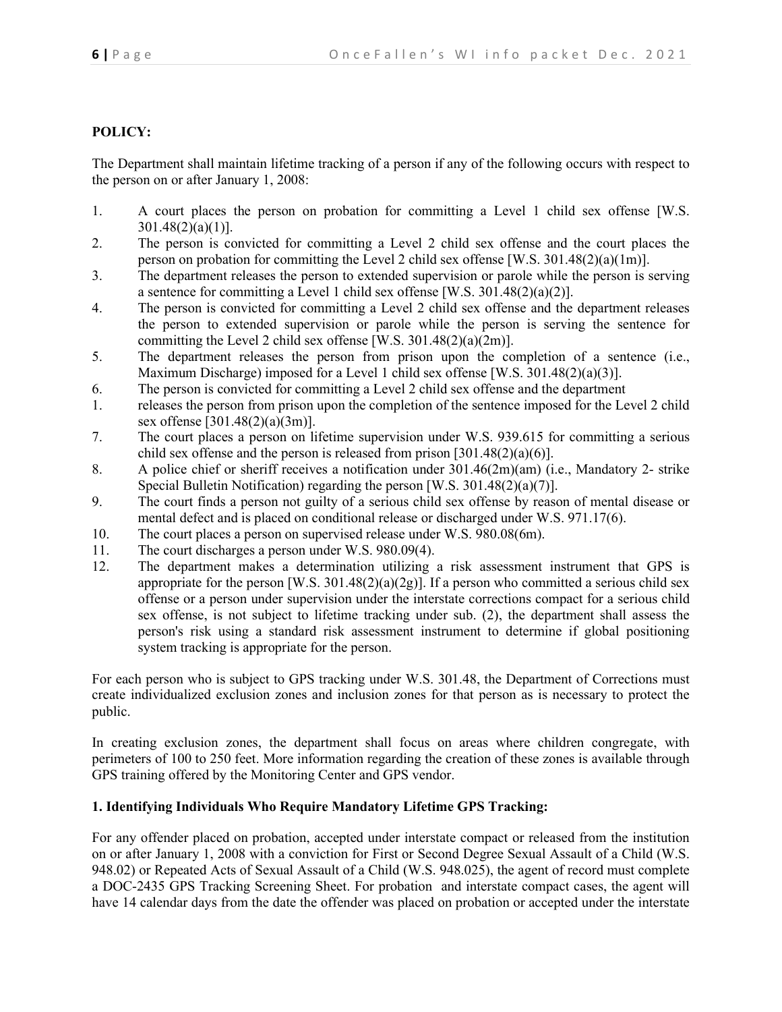# **POLICY:**

The Department shall maintain lifetime tracking of a person if any of the following occurs with respect to the person on or after January 1, 2008:

- 1. A court places the person on probation for committing a Level 1 child sex offense [W.S.  $301.48(2)(a)(1)$ ].
- 2. The person is convicted for committing a Level 2 child sex offense and the court places the person on probation for committing the Level 2 child sex offense [W.S. 301.48(2)(a)(1m)].
- 3. The department releases the person to extended supervision or parole while the person is serving a sentence for committing a Level 1 child sex offense [W.S. 301.48(2)(a)(2)].
- 4. The person is convicted for committing a Level 2 child sex offense and the department releases the person to extended supervision or parole while the person is serving the sentence for committing the Level 2 child sex offense [W.S.  $301.48(2)(a)(2m)$ ].
- 5. The department releases the person from prison upon the completion of a sentence (i.e., Maximum Discharge) imposed for a Level 1 child sex offense [W.S. 301.48(2)(a)(3)].
- 6. The person is convicted for committing a Level 2 child sex offense and the department
- 1. releases the person from prison upon the completion of the sentence imposed for the Level 2 child sex offense [301.48(2)(a)(3m)].
- 7. The court places a person on lifetime supervision under W.S. 939.615 for committing a serious child sex offense and the person is released from prison  $[301.48(2)(a)(6)]$ .
- 8. A police chief or sheriff receives a notification under 301.46(2m)(am) (i.e., Mandatory 2- strike Special Bulletin Notification) regarding the person [W.S. 301.48(2)(a)(7)].
- 9. The court finds a person not guilty of a serious child sex offense by reason of mental disease or mental defect and is placed on conditional release or discharged under W.S. 971.17(6).
- 10. The court places a person on supervised release under W.S. 980.08(6m).
- 11. The court discharges a person under W.S. 980.09(4).
- 12. The department makes a determination utilizing a risk assessment instrument that GPS is appropriate for the person [W.S.  $301.48(2)(a)(2g)$ ]. If a person who committed a serious child sex offense or a person under supervision under the interstate corrections compact for a serious child sex offense, is not subject to lifetime tracking under sub. (2), the department shall assess the person's risk using a standard risk assessment instrument to determine if global positioning system tracking is appropriate for the person.

For each person who is subject to GPS tracking under W.S. 301.48, the Department of Corrections must create individualized exclusion zones and inclusion zones for that person as is necessary to protect the public.

In creating exclusion zones, the department shall focus on areas where children congregate, with perimeters of 100 to 250 feet. More information regarding the creation of these zones is available through GPS training offered by the Monitoring Center and GPS vendor.

### **1. Identifying Individuals Who Require Mandatory Lifetime GPS Tracking:**

For any offender placed on probation, accepted under interstate compact or released from the institution on or after January 1, 2008 with a conviction for First or Second Degree Sexual Assault of a Child (W.S. 948.02) or Repeated Acts of Sexual Assault of a Child (W.S. 948.025), the agent of record must complete a DOC-2435 GPS Tracking Screening Sheet. For probation and interstate compact cases, the agent will have 14 calendar days from the date the offender was placed on probation or accepted under the interstate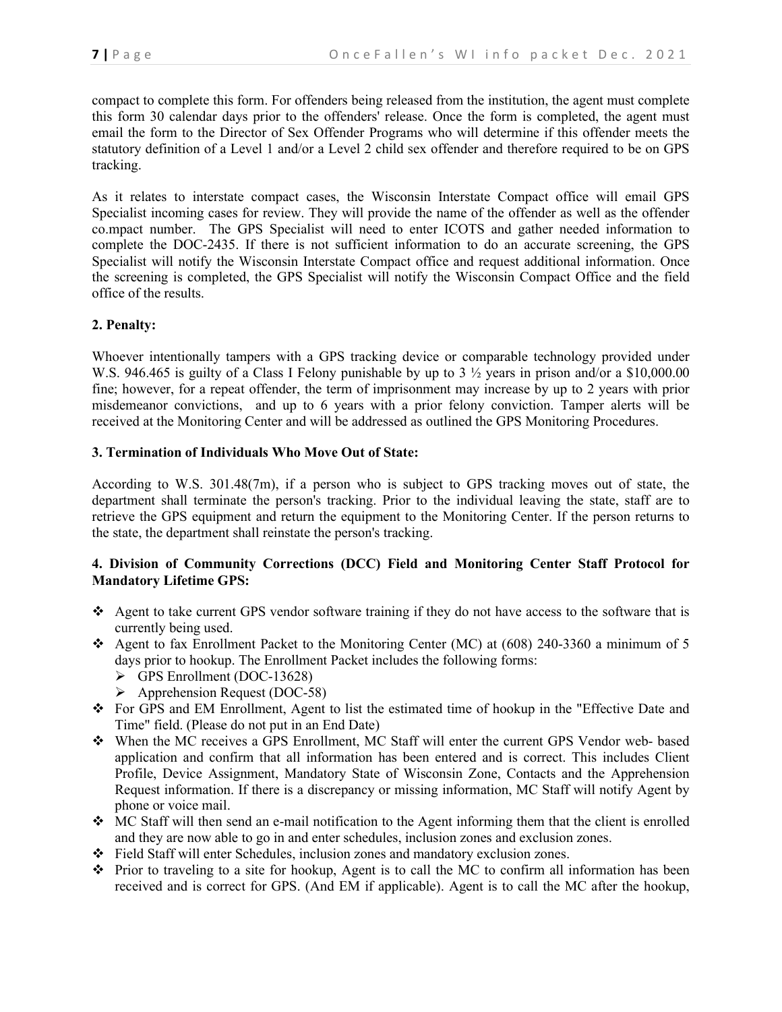compact to complete this form. For offenders being released from the institution, the agent must complete this form 30 calendar days prior to the offenders' release. Once the form is completed, the agent must email the form to the Director of Sex Offender Programs who will determine if this offender meets the statutory definition of a Level 1 and/or a Level 2 child sex offender and therefore required to be on GPS tracking.

As it relates to interstate compact cases, the Wisconsin Interstate Compact office will email GPS Specialist incoming cases for review. They will provide the name of the offender as well as the offender co.mpact number. The GPS Specialist will need to enter ICOTS and gather needed information to complete the DOC-2435. If there is not sufficient information to do an accurate screening, the GPS Specialist will notify the Wisconsin Interstate Compact office and request additional information. Once the screening is completed, the GPS Specialist will notify the Wisconsin Compact Office and the field office of the results.

# **2. Penalty:**

Whoever intentionally tampers with a GPS tracking device or comparable technology provided under W.S. 946.465 is guilty of a Class I Felony punishable by up to 3  $\frac{1}{2}$  years in prison and/or a \$10,000.00 fine; however, for a repeat offender, the term of imprisonment may increase by up to 2 years with prior misdemeanor convictions, and up to 6 years with a prior felony conviction. Tamper alerts will be received at the Monitoring Center and will be addressed as outlined the GPS Monitoring Procedures.

# **3. Termination of Individuals Who Move Out of State:**

According to W.S. 301.48(7m), if a person who is subject to GPS tracking moves out of state, the department shall terminate the person's tracking. Prior to the individual leaving the state, staff are to retrieve the GPS equipment and return the equipment to the Monitoring Center. If the person returns to the state, the department shall reinstate the person's tracking.

# **4. Division of Community Corrections (DCC) Field and Monitoring Center Staff Protocol for Mandatory Lifetime GPS:**

- Agent to take current GPS vendor software training if they do not have access to the software that is currently being used.
- Agent to fax Enrollment Packet to the Monitoring Center (MC) at (608) 240-3360 a minimum of 5 days prior to hookup. The Enrollment Packet includes the following forms:
	- $\triangleright$  GPS Enrollment (DOC-13628)
	- $\triangleright$  Apprehension Request (DOC-58)
- For GPS and EM Enrollment, Agent to list the estimated time of hookup in the "Effective Date and Time" field. (Please do not put in an End Date)
- When the MC receives a GPS Enrollment, MC Staff will enter the current GPS Vendor web- based application and confirm that all information has been entered and is correct. This includes Client Profile, Device Assignment, Mandatory State of Wisconsin Zone, Contacts and the Apprehension Request information. If there is a discrepancy or missing information, MC Staff will notify Agent by phone or voice mail.
- MC Staff will then send an e-mail notification to the Agent informing them that the client is enrolled and they are now able to go in and enter schedules, inclusion zones and exclusion zones.
- Field Staff will enter Schedules, inclusion zones and mandatory exclusion zones.
- Prior to traveling to a site for hookup, Agent is to call the MC to confirm all information has been received and is correct for GPS. (And EM if applicable). Agent is to call the MC after the hookup,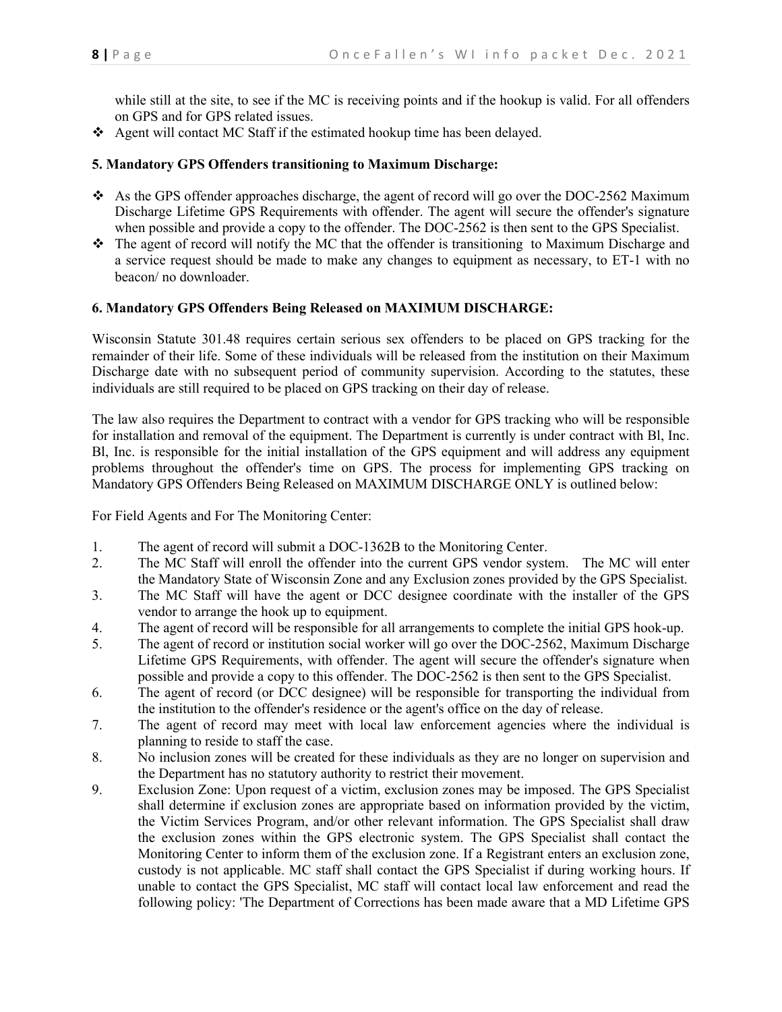while still at the site, to see if the MC is receiving points and if the hookup is valid. For all offenders on GPS and for GPS related issues.

Agent will contact MC Staff if the estimated hookup time has been delayed.

# **5. Mandatory GPS Offenders transitioning to Maximum Discharge:**

- $\bullet$  As the GPS offender approaches discharge, the agent of record will go over the DOC-2562 Maximum Discharge Lifetime GPS Requirements with offender. The agent will secure the offender's signature when possible and provide a copy to the offender. The DOC-2562 is then sent to the GPS Specialist.
- The agent of record will notify the MC that the offender is transitioning to Maximum Discharge and a service request should be made to make any changes to equipment as necessary, to ET-1 with no beacon/ no downloader.

### **6. Mandatory GPS Offenders Being Released on MAXIMUM DISCHARGE:**

Wisconsin Statute 301.48 requires certain serious sex offenders to be placed on GPS tracking for the remainder of their life. Some of these individuals will be released from the institution on their Maximum Discharge date with no subsequent period of community supervision. According to the statutes, these individuals are still required to be placed on GPS tracking on their day of release.

The law also requires the Department to contract with a vendor for GPS tracking who will be responsible for installation and removal of the equipment. The Department is currently is under contract with Bl, Inc. Bl, Inc. is responsible for the initial installation of the GPS equipment and will address any equipment problems throughout the offender's time on GPS. The process for implementing GPS tracking on Mandatory GPS Offenders Being Released on MAXIMUM DISCHARGE ONLY is outlined below:

For Field Agents and For The Monitoring Center:

- 1. The agent of record will submit a DOC-1362B to the Monitoring Center.
- 2. The MC Staff will enroll the offender into the current GPS vendor system. The MC will enter the Mandatory State of Wisconsin Zone and any Exclusion zones provided by the GPS Specialist.
- 3. The MC Staff will have the agent or DCC designee coordinate with the installer of the GPS vendor to arrange the hook up to equipment.
- 4. The agent of record will be responsible for all arrangements to complete the initial GPS hook-up.
- 5. The agent of record or institution social worker will go over the DOC-2562, Maximum Discharge Lifetime GPS Requirements, with offender. The agent will secure the offender's signature when possible and provide a copy to this offender. The DOC-2562 is then sent to the GPS Specialist.
- 6. The agent of record (or DCC designee) will be responsible for transporting the individual from the institution to the offender's residence or the agent's office on the day of release.
- 7. The agent of record may meet with local law enforcement agencies where the individual is planning to reside to staff the case.
- 8. No inclusion zones will be created for these individuals as they are no longer on supervision and the Department has no statutory authority to restrict their movement.
- 9. Exclusion Zone: Upon request of a victim, exclusion zones may be imposed. The GPS Specialist shall determine if exclusion zones are appropriate based on information provided by the victim, the Victim Services Program, and/or other relevant information. The GPS Specialist shall draw the exclusion zones within the GPS electronic system. The GPS Specialist shall contact the Monitoring Center to inform them of the exclusion zone. If a Registrant enters an exclusion zone, custody is not applicable. MC staff shall contact the GPS Specialist if during working hours. If unable to contact the GPS Specialist, MC staff will contact local law enforcement and read the following policy: 'The Department of Corrections has been made aware that a MD Lifetime GPS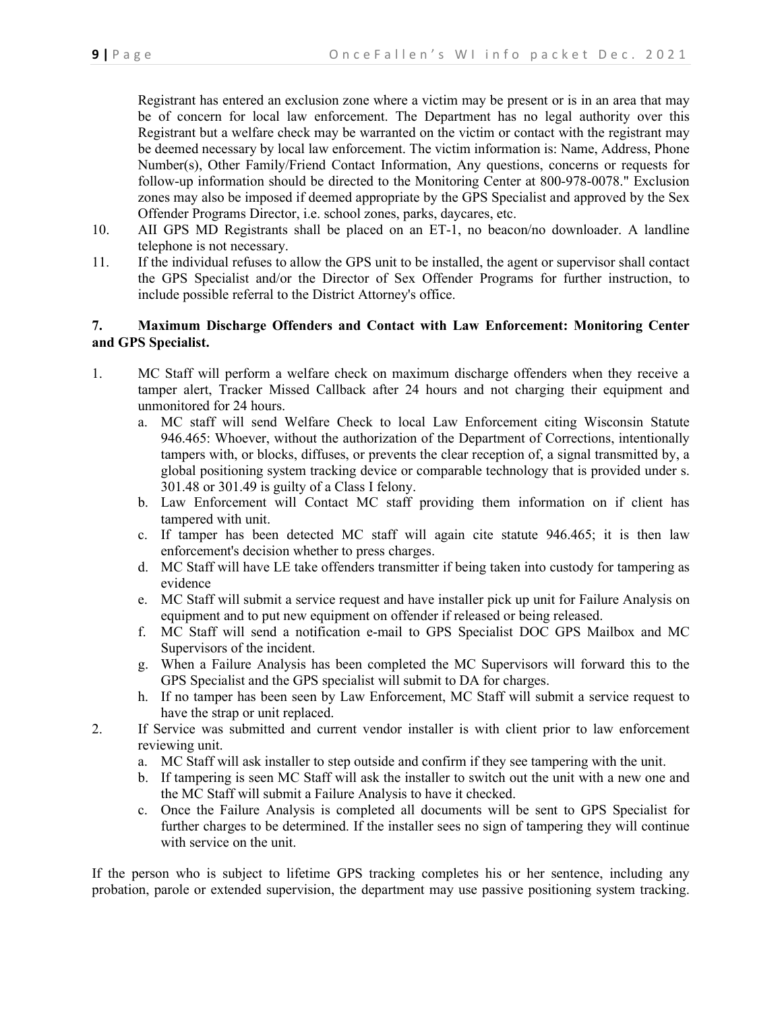Registrant has entered an exclusion zone where a victim may be present or is in an area that may be of concern for local law enforcement. The Department has no legal authority over this Registrant but a welfare check may be warranted on the victim or contact with the registrant may be deemed necessary by local law enforcement. The victim information is: Name, Address, Phone Number(s), Other Family/Friend Contact Information, Any questions, concerns or requests for follow-up information should be directed to the Monitoring Center at 800-978-0078." Exclusion zones may also be imposed if deemed appropriate by the GPS Specialist and approved by the Sex Offender Programs Director, i.e. school zones, parks, daycares, etc.

- 10. AII GPS MD Registrants shall be placed on an ET-1, no beacon/no downloader. A landline telephone is not necessary.
- 11. If the individual refuses to allow the GPS unit to be installed, the agent or supervisor shall contact the GPS Specialist and/or the Director of Sex Offender Programs for further instruction, to include possible referral to the District Attorney's office.

### **7. Maximum Discharge Offenders and Contact with Law Enforcement: Monitoring Center and GPS Specialist.**

- 1. MC Staff will perform a welfare check on maximum discharge offenders when they receive a tamper alert, Tracker Missed Callback after 24 hours and not charging their equipment and unmonitored for 24 hours.
	- a. MC staff will send Welfare Check to local Law Enforcement citing Wisconsin Statute 946.465: Whoever, without the authorization of the Department of Corrections, intentionally tampers with, or blocks, diffuses, or prevents the clear reception of, a signal transmitted by, a global positioning system tracking device or comparable technology that is provided under s. 301.48 or 301.49 is guilty of a Class I felony.
	- b. Law Enforcement will Contact MC staff providing them information on if client has tampered with unit.
	- c. If tamper has been detected MC staff will again cite statute 946.465; it is then law enforcement's decision whether to press charges.
	- d. MC Staff will have LE take offenders transmitter if being taken into custody for tampering as evidence
	- e. MC Staff will submit a service request and have installer pick up unit for Failure Analysis on equipment and to put new equipment on offender if released or being released.
	- f. MC Staff will send a notification e-mail to GPS Specialist DOC GPS Mailbox and MC Supervisors of the incident.
	- g. When a Failure Analysis has been completed the MC Supervisors will forward this to the GPS Specialist and the GPS specialist will submit to DA for charges.
	- h. If no tamper has been seen by Law Enforcement, MC Staff will submit a service request to have the strap or unit replaced.
- 2. If Service was submitted and current vendor installer is with client prior to law enforcement reviewing unit.
	- a. MC Staff will ask installer to step outside and confirm if they see tampering with the unit.
	- b. If tampering is seen MC Staff will ask the installer to switch out the unit with a new one and the MC Staff will submit a Failure Analysis to have it checked.
	- c. Once the Failure Analysis is completed all documents will be sent to GPS Specialist for further charges to be determined. If the installer sees no sign of tampering they will continue with service on the unit.

If the person who is subject to lifetime GPS tracking completes his or her sentence, including any probation, parole or extended supervision, the department may use passive positioning system tracking.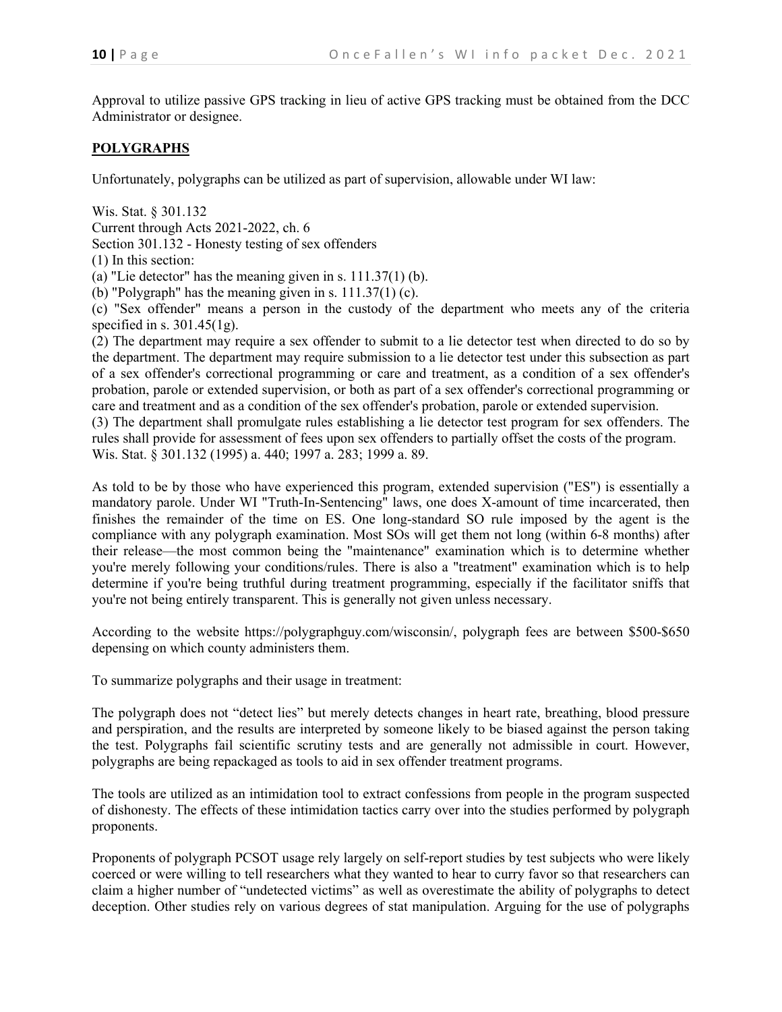Approval to utilize passive GPS tracking in lieu of active GPS tracking must be obtained from the DCC Administrator or designee.

#### **POLYGRAPHS**

Unfortunately, polygraphs can be utilized as part of supervision, allowable under WI law:

Wis. Stat. § 301.132 Current through Acts 2021-2022, ch. 6 Section 301.132 - Honesty testing of sex offenders

(1) In this section:

(a) "Lie detector" has the meaning given in s.  $111.37(1)$  (b).

(b) "Polygraph" has the meaning given in s.  $111.37(1)$  (c).

(c) "Sex offender" means a person in the custody of the department who meets any of the criteria specified in s.  $301.45(1g)$ .

(2) The department may require a sex offender to submit to a lie detector test when directed to do so by the department. The department may require submission to a lie detector test under this subsection as part of a sex offender's correctional programming or care and treatment, as a condition of a sex offender's probation, parole or extended supervision, or both as part of a sex offender's correctional programming or care and treatment and as a condition of the sex offender's probation, parole or extended supervision.

(3) The department shall promulgate rules establishing a lie detector test program for sex offenders. The rules shall provide for assessment of fees upon sex offenders to partially offset the costs of the program. Wis. Stat. § 301.132 (1995) a. 440; 1997 a. 283; 1999 a. 89.

As told to be by those who have experienced this program, extended supervision ("ES") is essentially a mandatory parole. Under WI "Truth-In-Sentencing" laws, one does X-amount of time incarcerated, then finishes the remainder of the time on ES. One long-standard SO rule imposed by the agent is the compliance with any polygraph examination. Most SOs will get them not long (within 6-8 months) after their release—the most common being the "maintenance" examination which is to determine whether you're merely following your conditions/rules. There is also a "treatment" examination which is to help determine if you're being truthful during treatment programming, especially if the facilitator sniffs that you're not being entirely transparent. This is generally not given unless necessary.

According to the website https://polygraphguy.com/wisconsin/, polygraph fees are between \$500-\$650 depensing on which county administers them.

To summarize polygraphs and their usage in treatment:

The polygraph does not "detect lies" but merely detects changes in heart rate, breathing, blood pressure and perspiration, and the results are interpreted by someone likely to be biased against the person taking the test. Polygraphs fail scientific scrutiny tests and are generally not admissible in court. However, polygraphs are being repackaged as tools to aid in sex offender treatment programs.

The tools are utilized as an intimidation tool to extract confessions from people in the program suspected of dishonesty. The effects of these intimidation tactics carry over into the studies performed by polygraph proponents.

Proponents of polygraph PCSOT usage rely largely on self-report studies by test subjects who were likely coerced or were willing to tell researchers what they wanted to hear to curry favor so that researchers can claim a higher number of "undetected victims" as well as overestimate the ability of polygraphs to detect deception. Other studies rely on various degrees of stat manipulation. Arguing for the use of polygraphs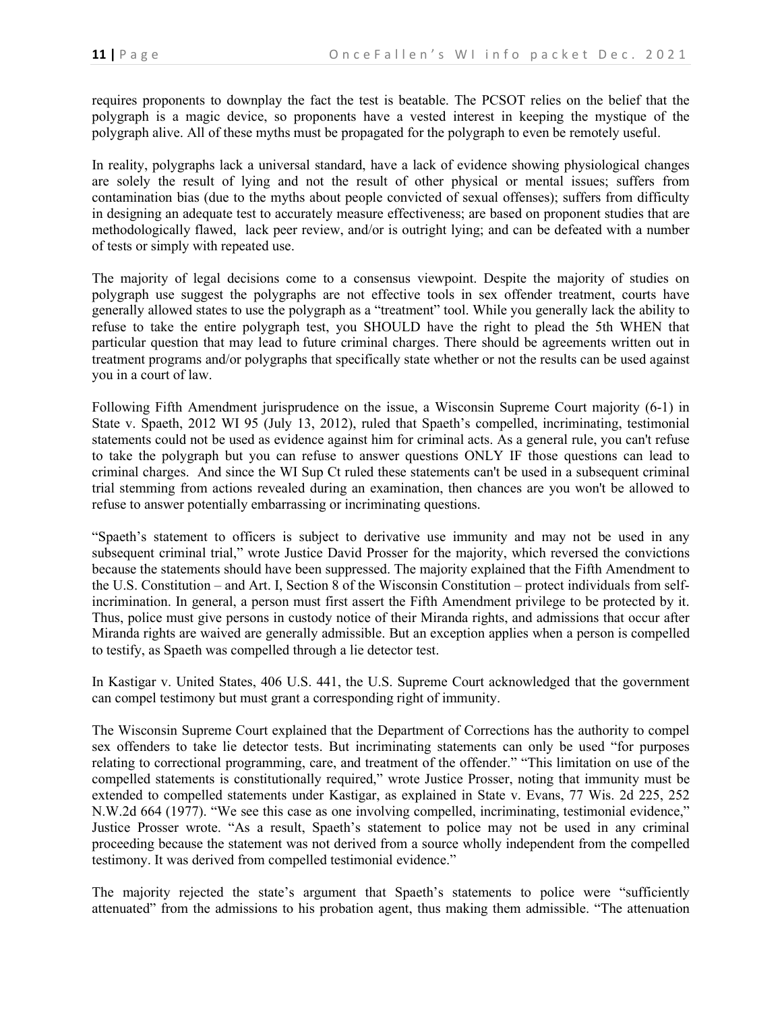requires proponents to downplay the fact the test is beatable. The PCSOT relies on the belief that the polygraph is a magic device, so proponents have a vested interest in keeping the mystique of the polygraph alive. All of these myths must be propagated for the polygraph to even be remotely useful.

In reality, polygraphs lack a universal standard, have a lack of evidence showing physiological changes are solely the result of lying and not the result of other physical or mental issues; suffers from contamination bias (due to the myths about people convicted of sexual offenses); suffers from difficulty in designing an adequate test to accurately measure effectiveness; are based on proponent studies that are methodologically flawed, lack peer review, and/or is outright lying; and can be defeated with a number of tests or simply with repeated use.

The majority of legal decisions come to a consensus viewpoint. Despite the majority of studies on polygraph use suggest the polygraphs are not effective tools in sex offender treatment, courts have generally allowed states to use the polygraph as a "treatment" tool. While you generally lack the ability to refuse to take the entire polygraph test, you SHOULD have the right to plead the 5th WHEN that particular question that may lead to future criminal charges. There should be agreements written out in treatment programs and/or polygraphs that specifically state whether or not the results can be used against you in a court of law.

Following Fifth Amendment jurisprudence on the issue, a Wisconsin Supreme Court majority (6-1) in State v. Spaeth, 2012 WI 95 (July 13, 2012), ruled that Spaeth's compelled, incriminating, testimonial statements could not be used as evidence against him for criminal acts. As a general rule, you can't refuse to take the polygraph but you can refuse to answer questions ONLY IF those questions can lead to criminal charges. And since the WI Sup Ct ruled these statements can't be used in a subsequent criminal trial stemming from actions revealed during an examination, then chances are you won't be allowed to refuse to answer potentially embarrassing or incriminating questions.

"Spaeth's statement to officers is subject to derivative use immunity and may not be used in any subsequent criminal trial," wrote Justice David Prosser for the majority, which reversed the convictions because the statements should have been suppressed. The majority explained that the Fifth Amendment to the U.S. Constitution – and Art. I, Section 8 of the Wisconsin Constitution – protect individuals from selfincrimination. In general, a person must first assert the Fifth Amendment privilege to be protected by it. Thus, police must give persons in custody notice of their Miranda rights, and admissions that occur after Miranda rights are waived are generally admissible. But an exception applies when a person is compelled to testify, as Spaeth was compelled through a lie detector test.

In Kastigar v. United States, 406 U.S. 441, the U.S. Supreme Court acknowledged that the government can compel testimony but must grant a corresponding right of immunity.

The Wisconsin Supreme Court explained that the Department of Corrections has the authority to compel sex offenders to take lie detector tests. But incriminating statements can only be used "for purposes relating to correctional programming, care, and treatment of the offender." "This limitation on use of the compelled statements is constitutionally required," wrote Justice Prosser, noting that immunity must be extended to compelled statements under Kastigar, as explained in State v. Evans, 77 Wis. 2d 225, 252 N.W.2d 664 (1977). "We see this case as one involving compelled, incriminating, testimonial evidence," Justice Prosser wrote. "As a result, Spaeth's statement to police may not be used in any criminal proceeding because the statement was not derived from a source wholly independent from the compelled testimony. It was derived from compelled testimonial evidence."

The majority rejected the state's argument that Spaeth's statements to police were "sufficiently attenuated" from the admissions to his probation agent, thus making them admissible. "The attenuation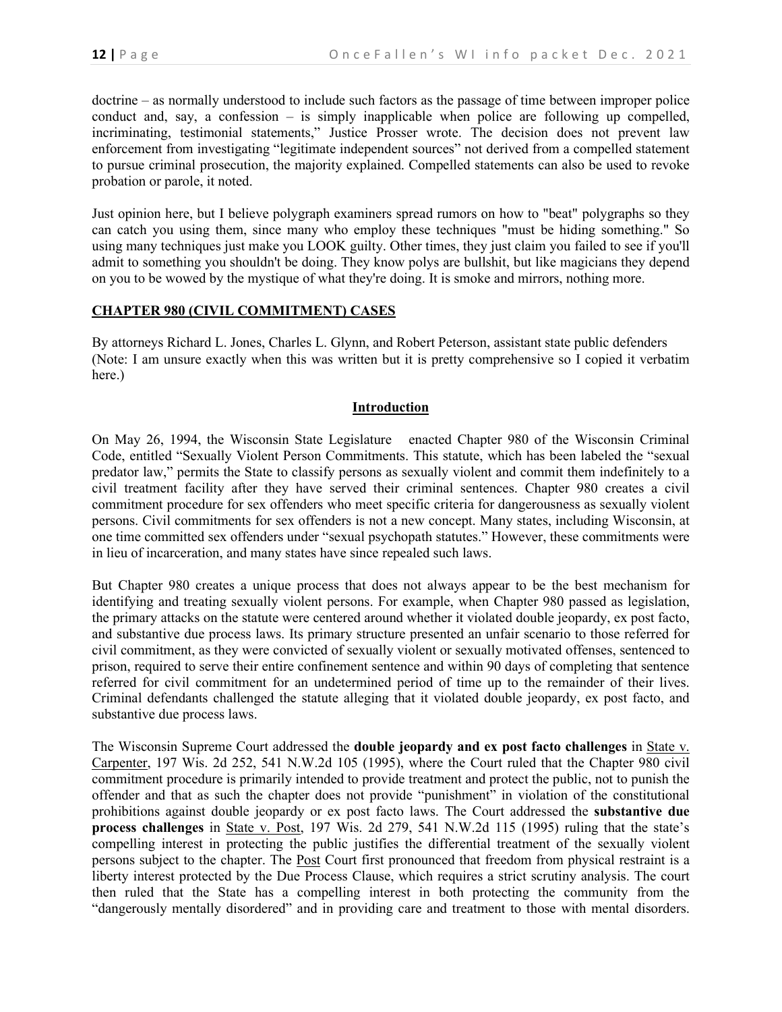doctrine – as normally understood to include such factors as the passage of time between improper police conduct and, say, a confession – is simply inapplicable when police are following up compelled, incriminating, testimonial statements," Justice Prosser wrote. The decision does not prevent law enforcement from investigating "legitimate independent sources" not derived from a compelled statement to pursue criminal prosecution, the majority explained. Compelled statements can also be used to revoke probation or parole, it noted.

Just opinion here, but I believe polygraph examiners spread rumors on how to "beat" polygraphs so they can catch you using them, since many who employ these techniques "must be hiding something." So using many techniques just make you LOOK guilty. Other times, they just claim you failed to see if you'll admit to something you shouldn't be doing. They know polys are bullshit, but like magicians they depend on you to be wowed by the mystique of what they're doing. It is smoke and mirrors, nothing more.

#### **CHAPTER 980 (CIVIL COMMITMENT) CASES**

By attorneys Richard L. Jones, Charles L. Glynn, and Robert Peterson, assistant state public defenders (Note: I am unsure exactly when this was written but it is pretty comprehensive so I copied it verbatim here.)

#### **Introduction**

On May 26, 1994, the Wisconsin State Legislature enacted Chapter 980 of the Wisconsin Criminal Code, entitled "Sexually Violent Person Commitments. This statute, which has been labeled the "sexual predator law," permits the State to classify persons as sexually violent and commit them indefinitely to a civil treatment facility after they have served their criminal sentences. Chapter 980 creates a civil commitment procedure for sex offenders who meet specific criteria for dangerousness as sexually violent persons. Civil commitments for sex offenders is not a new concept. Many states, including Wisconsin, at one time committed sex offenders under "sexual psychopath statutes." However, these commitments were in lieu of incarceration, and many states have since repealed such laws.

But Chapter 980 creates a unique process that does not always appear to be the best mechanism for identifying and treating sexually violent persons. For example, when Chapter 980 passed as legislation, the primary attacks on the statute were centered around whether it violated double jeopardy, ex post facto, and substantive due process laws. Its primary structure presented an unfair scenario to those referred for civil commitment, as they were convicted of sexually violent or sexually motivated offenses, sentenced to prison, required to serve their entire confinement sentence and within 90 days of completing that sentence referred for civil commitment for an undetermined period of time up to the remainder of their lives. Criminal defendants challenged the statute alleging that it violated double jeopardy, ex post facto, and substantive due process laws.

The Wisconsin Supreme Court addressed the **double jeopardy and ex post facto challenges** in State v. Carpenter, 197 Wis. 2d 252, 541 N.W.2d 105 (1995), where the Court ruled that the Chapter 980 civil commitment procedure is primarily intended to provide treatment and protect the public, not to punish the offender and that as such the chapter does not provide "punishment" in violation of the constitutional prohibitions against double jeopardy or ex post facto laws. The Court addressed the **substantive due process challenges** in State v. Post, 197 Wis. 2d 279, 541 N.W.2d 115 (1995) ruling that the state's compelling interest in protecting the public justifies the differential treatment of the sexually violent persons subject to the chapter. The Post Court first pronounced that freedom from physical restraint is a liberty interest protected by the Due Process Clause, which requires a strict scrutiny analysis. The court then ruled that the State has a compelling interest in both protecting the community from the "dangerously mentally disordered" and in providing care and treatment to those with mental disorders.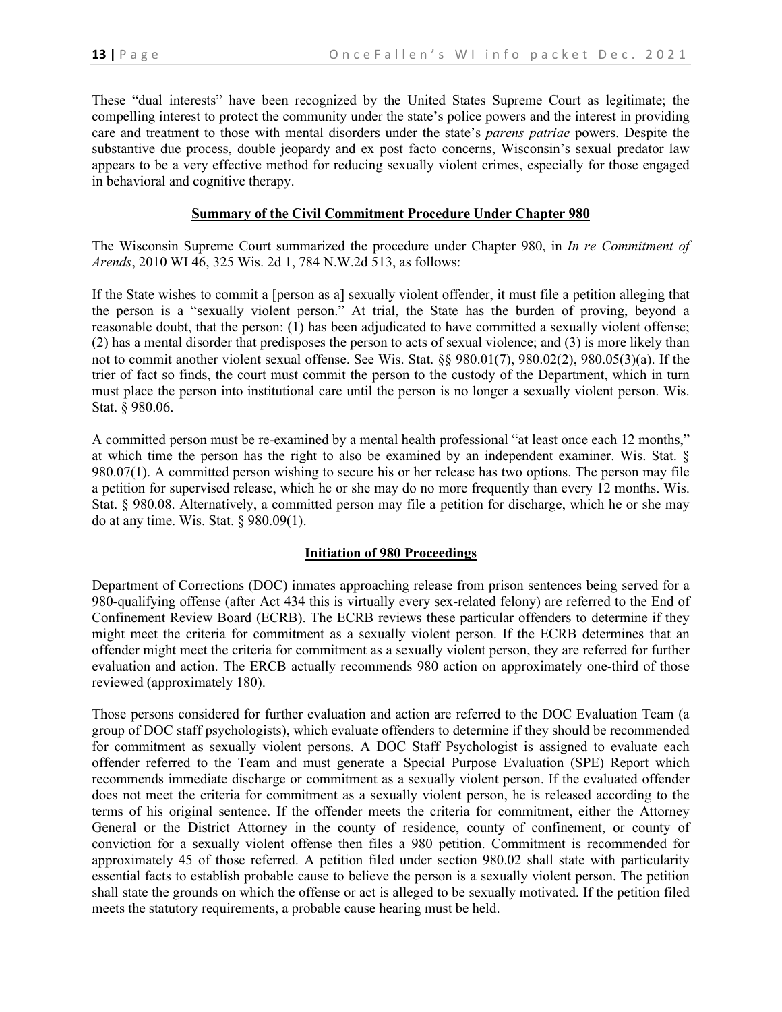These "dual interests" have been recognized by the United States Supreme Court as legitimate; the compelling interest to protect the community under the state's police powers and the interest in providing care and treatment to those with mental disorders under the state's *parens patriae* powers. Despite the substantive due process, double jeopardy and ex post facto concerns, Wisconsin's sexual predator law appears to be a very effective method for reducing sexually violent crimes, especially for those engaged in behavioral and cognitive therapy.

### **Summary of the Civil Commitment Procedure Under Chapter 980**

The Wisconsin Supreme Court summarized the procedure under Chapter 980, in *In re Commitment of Arends*, 2010 WI 46, 325 Wis. 2d 1, 784 N.W.2d 513, as follows:

If the State wishes to commit a [person as a] sexually violent offender, it must file a petition alleging that the person is a "sexually violent person." At trial, the State has the burden of proving, beyond a reasonable doubt, that the person: (1) has been adjudicated to have committed a sexually violent offense; (2) has a mental disorder that predisposes the person to acts of sexual violence; and (3) is more likely than not to commit another violent sexual offense. See Wis. Stat. §§ 980.01(7), 980.02(2), 980.05(3)(a). If the trier of fact so finds, the court must commit the person to the custody of the Department, which in turn must place the person into institutional care until the person is no longer a sexually violent person. Wis. Stat. § 980.06.

A committed person must be re-examined by a mental health professional "at least once each 12 months," at which time the person has the right to also be examined by an independent examiner. Wis. Stat. § 980.07(1). A committed person wishing to secure his or her release has two options. The person may file a petition for supervised release, which he or she may do no more frequently than every 12 months. Wis. Stat. § 980.08. Alternatively, a committed person may file a petition for discharge, which he or she may do at any time. Wis. Stat. § 980.09(1).

#### **Initiation of 980 Proceedings**

Department of Corrections (DOC) inmates approaching release from prison sentences being served for a 980-qualifying offense (after Act 434 this is virtually every sex-related felony) are referred to the End of Confinement Review Board (ECRB). The ECRB reviews these particular offenders to determine if they might meet the criteria for commitment as a sexually violent person. If the ECRB determines that an offender might meet the criteria for commitment as a sexually violent person, they are referred for further evaluation and action. The ERCB actually recommends 980 action on approximately one-third of those reviewed (approximately 180).

Those persons considered for further evaluation and action are referred to the DOC Evaluation Team (a group of DOC staff psychologists), which evaluate offenders to determine if they should be recommended for commitment as sexually violent persons. A DOC Staff Psychologist is assigned to evaluate each offender referred to the Team and must generate a Special Purpose Evaluation (SPE) Report which recommends immediate discharge or commitment as a sexually violent person. If the evaluated offender does not meet the criteria for commitment as a sexually violent person, he is released according to the terms of his original sentence. If the offender meets the criteria for commitment, either the Attorney General or the District Attorney in the county of residence, county of confinement, or county of conviction for a sexually violent offense then files a 980 petition. Commitment is recommended for approximately 45 of those referred. A petition filed under section 980.02 shall state with particularity essential facts to establish probable cause to believe the person is a sexually violent person. The petition shall state the grounds on which the offense or act is alleged to be sexually motivated. If the petition filed meets the statutory requirements, a probable cause hearing must be held.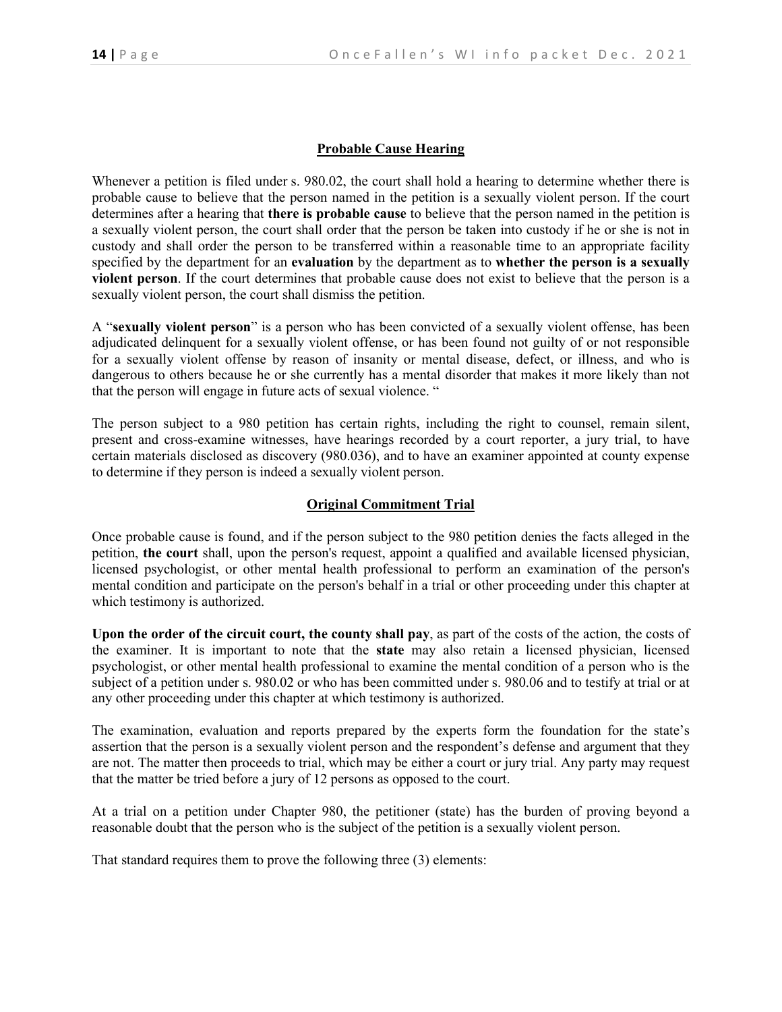### **Probable Cause Hearing**

Whenever a petition is filed under [s. 980.02,](https://a.next.westlaw.com/Link/Document/FullText?findType=L&pubNum=1000260&cite=WIST980.02&originatingDoc=NE64FC31025DD11DDA687FFC1A90436F2&refType=LQ&originationContext=document&transitionType=DocumentItem&contextData=(sc.Category)) the court shall hold a hearing to determine whether there is probable cause to believe that the person named in the petition is a sexually violent person. If the court determines after a hearing that **there is probable cause** to believe that the person named in the petition is a sexually violent person, the court shall order that the person be taken into custody if he or she is not in custody and shall order the person to be transferred within a reasonable time to an appropriate facility specified by the department for an **evaluation** by the department as to **whether the person is a sexually violent person**. If the court determines that probable cause does not exist to believe that the person is a sexually violent person, the court shall dismiss the petition.

A "**sexually violent person**" is a person who has been convicted of a sexually violent offense, has been adjudicated delinquent for a sexually violent offense, or has been found not guilty of or not responsible for a sexually violent offense by reason of insanity or mental disease, defect, or illness, and who is dangerous to others because he or she currently has a mental disorder that makes it more likely than not that the person will engage in future acts of sexual violence. "

The person subject to a 980 petition has certain rights, including the right to counsel, remain silent, present and cross-examine witnesses, have hearings recorded by a court reporter, a jury trial, to have certain materials disclosed as discovery (980.036), and to have an examiner appointed at county expense to determine if they person is indeed a sexually violent person.

### **Original Commitment Trial**

Once probable cause is found, and if the person subject to the 980 petition denies the facts alleged in the petition, **the court** shall, upon the person's request, appoint a qualified and available licensed physician, licensed psychologist, or other mental health professional to perform an examination of the person's mental condition and participate on the person's behalf in a trial or other proceeding under this chapter at which testimony is authorized.

**Upon the order of the circuit court, the county shall pay**, as part of the costs of the action, the costs of the examiner. It is important to note that the **state** may also retain a licensed physician, licensed psychologist, or other mental health professional to examine the mental condition of a person who is the subject of a petition under [s. 980.02](https://a.next.westlaw.com/Link/Document/FullText?findType=L&pubNum=1000260&cite=WIST980.02&originatingDoc=N26B51C202D3D11DB8665B92FCD9CB674&refType=LQ&originationContext=document&transitionType=DocumentItem&contextData=(sc.Category)) or who has been committed under [s. 980.06](https://a.next.westlaw.com/Link/Document/FullText?findType=L&pubNum=1000260&cite=WIST980.06&originatingDoc=N26B51C202D3D11DB8665B92FCD9CB674&refType=LQ&originationContext=document&transitionType=DocumentItem&contextData=(sc.Category)) and to testify at trial or at any other proceeding under this chapter at which testimony is authorized.

The examination, evaluation and reports prepared by the experts form the foundation for the state's assertion that the person is a sexually violent person and the respondent's defense and argument that they are not. The matter then proceeds to trial, which may be either a court or jury trial. Any party may request that the matter be tried before a jury of 12 persons as opposed to the court.

At a trial on a petition under Chapter 980, the petitioner (state) has the burden of proving beyond a reasonable doubt that the person who is the subject of the petition is a sexually violent person.

That standard requires them to prove the following three (3) elements: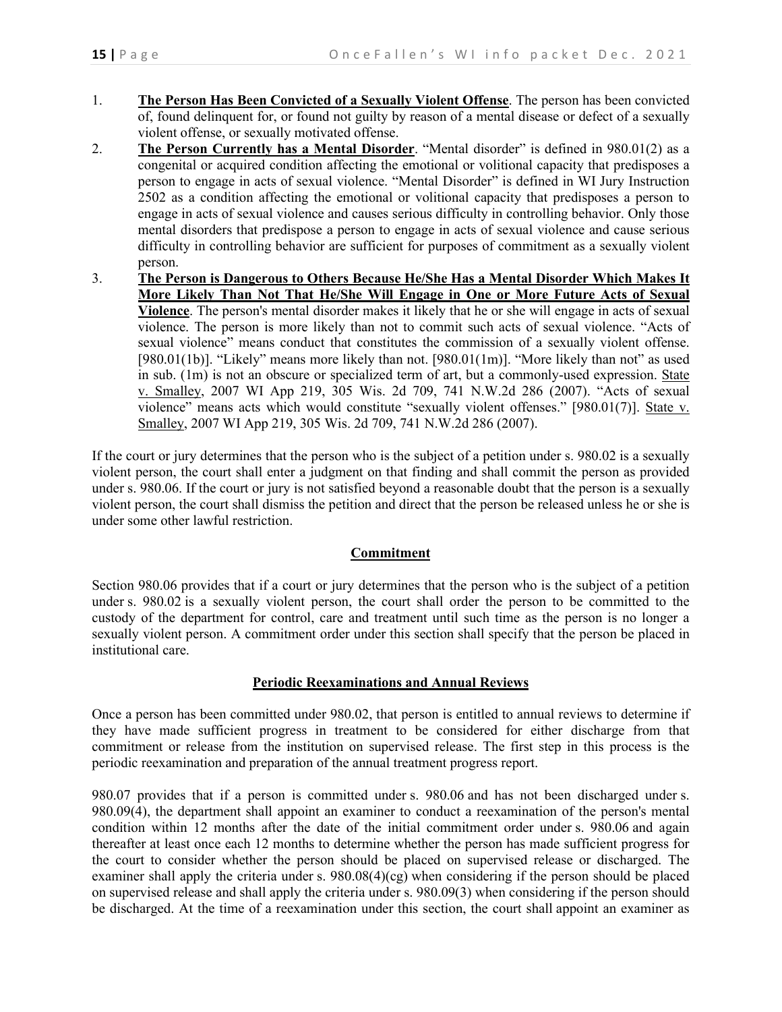- 1. **The Person Has Been Convicted of a Sexually Violent Offense**. The person has been convicted of, found delinquent for, or found not guilty by reason of a mental disease or defect of a sexually violent offense, or sexually motivated offense.
- 2. **The Person Currently has a Mental Disorder**. "Mental disorder" is defined in 980.01(2) as a congenital or acquired condition affecting the emotional or volitional capacity that predisposes a person to engage in acts of sexual violence. "Mental Disorder" is defined in WI Jury Instruction 2502 as a condition affecting the emotional or volitional capacity that predisposes a person to engage in acts of sexual violence and causes serious difficulty in controlling behavior. Only those mental disorders that predispose a person to engage in acts of sexual violence and cause serious difficulty in controlling behavior are sufficient for purposes of commitment as a sexually violent person.
- 3. **The Person is Dangerous to Others Because He/She Has a Mental Disorder Which Makes It More Likely Than Not That He/She Will Engage in One or More Future Acts of Sexual Violence**. The person's mental disorder makes it likely that he or she will engage in acts of sexual violence. The person is more likely than not to commit such acts of sexual violence. "Acts of sexual violence" means conduct that constitutes the commission of a sexually violent offense. [980.01(1b)]. "Likely" means more likely than not. [980.01(1m)]. "More likely than not" as used in sub. (1m) is not an obscure or specialized term of art, but a commonly-used expression. State v. Smalley, 2007 WI App 219, 305 Wis. 2d 709, 741 N.W.2d 286 (2007). "Acts of sexual violence" means acts which would constitute "sexually violent offenses." [980.01(7)]. State v. Smalley, 2007 WI App 219, 305 Wis. 2d 709, 741 N.W.2d 286 (2007).

If the court or jury determines that the person who is the subject of a petition under [s. 980.02](https://a.next.westlaw.com/Link/Document/FullText?findType=L&pubNum=1000260&cite=WIST980.02&originatingDoc=NB2B9A39077D911DAA16E8D4AC7636430&refType=LQ&originationContext=document&transitionType=DocumentItem&contextData=(sc.Category)) is a sexually violent person, the court shall enter a judgment on that finding and shall commit the person as provided under [s. 980.06.](https://a.next.westlaw.com/Link/Document/FullText?findType=L&pubNum=1000260&cite=WIST980.06&originatingDoc=NB2B9A39077D911DAA16E8D4AC7636430&refType=LQ&originationContext=document&transitionType=DocumentItem&contextData=(sc.Category)) If the court or jury is not satisfied beyond a reasonable doubt that the person is a sexually violent person, the court shall dismiss the petition and direct that the person be released unless he or she is under some other lawful restriction.

### **Commitment**

Section 980.06 provides that if a court or jury determines that the person who is the subject of a petition under [s. 980.02](https://a.next.westlaw.com/Link/Document/FullText?findType=L&pubNum=1000260&cite=WIST980.02&originatingDoc=NB3D85A0077D911DAA16E8D4AC7636430&refType=LQ&originationContext=document&transitionType=DocumentItem&contextData=(sc.Category)) is a sexually violent person, the court shall order the person to be committed to the custody of the department for control, care and treatment until such time as the person is no longer a sexually violent person. A commitment order under this section shall specify that the person be placed in institutional care.

#### **Periodic Reexaminations and Annual Reviews**

Once a person has been committed under 980.02, that person is entitled to annual reviews to determine if they have made sufficient progress in treatment to be considered for either discharge from that commitment or release from the institution on supervised release. The first step in this process is the periodic reexamination and preparation of the annual treatment progress report.

980.07 provides that if a person is committed under [s. 980.06](https://a.next.westlaw.com/Link/Document/FullText?findType=L&pubNum=1000260&cite=WIST980.06&originatingDoc=NF59C4D00675111E388FBED37B2FA9E25&refType=LQ&originationContext=document&transitionType=DocumentItem&contextData=(sc.Category)) and has not been discharged under [s.](https://a.next.westlaw.com/Link/Document/FullText?findType=L&pubNum=1000260&cite=WIST980.09&originatingDoc=NF59C4D00675111E388FBED37B2FA9E25&refType=SP&originationContext=document&transitionType=DocumentItem&contextData=(sc.Category)#co_pp_0bd500007a412)  [980.09\(4\),](https://a.next.westlaw.com/Link/Document/FullText?findType=L&pubNum=1000260&cite=WIST980.09&originatingDoc=NF59C4D00675111E388FBED37B2FA9E25&refType=SP&originationContext=document&transitionType=DocumentItem&contextData=(sc.Category)#co_pp_0bd500007a412) the department shall appoint an examiner to conduct a reexamination of the person's mental condition within 12 months after the date of the initial commitment order under [s. 980.06](https://a.next.westlaw.com/Link/Document/FullText?findType=L&pubNum=1000260&cite=WIST980.06&originatingDoc=NF59C4D00675111E388FBED37B2FA9E25&refType=LQ&originationContext=document&transitionType=DocumentItem&contextData=(sc.Category)) and again thereafter at least once each 12 months to determine whether the person has made sufficient progress for the court to consider whether the person should be placed on supervised release or discharged. The examiner shall apply the criteria under s.  $980.08(4)(cg)$  when considering if the person should be placed on supervised release and shall apply the criteria under [s. 980.09\(3\)](https://a.next.westlaw.com/Link/Document/FullText?findType=L&pubNum=1000260&cite=WIST980.09&originatingDoc=NF59C4D00675111E388FBED37B2FA9E25&refType=SP&originationContext=document&transitionType=DocumentItem&contextData=(sc.Category)#co_pp_d08f0000f5f67) when considering if the person should be discharged. At the time of a reexamination under this section, the court shall appoint an examiner as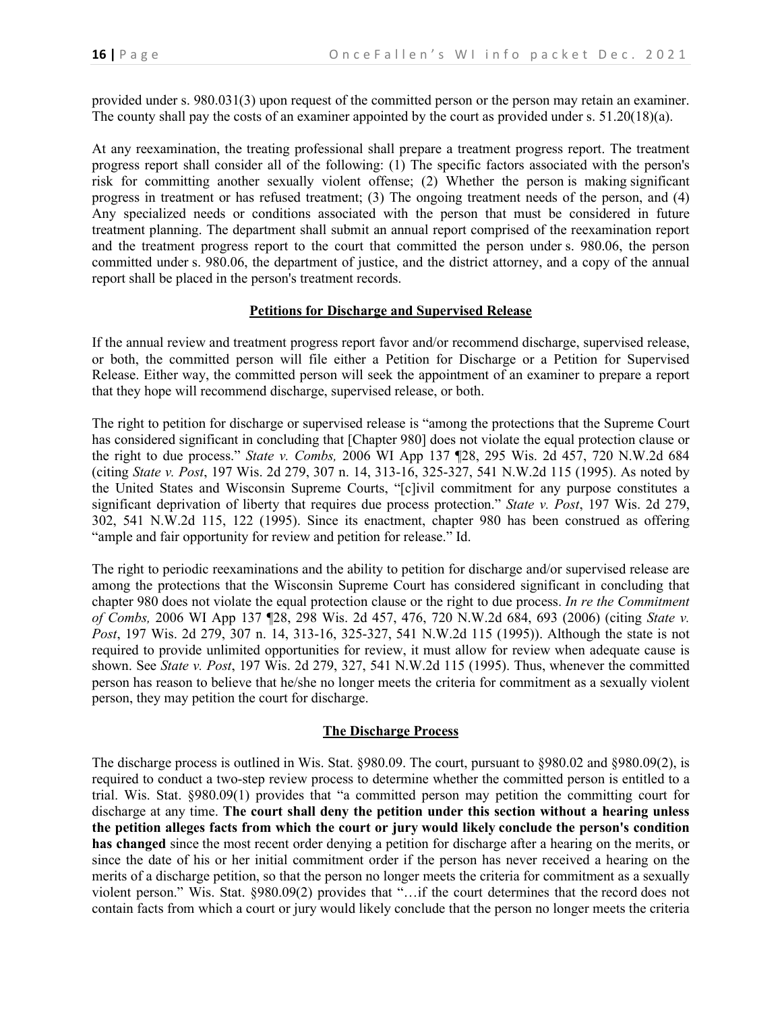provided under [s. 980.031\(3\)](https://a.next.westlaw.com/Link/Document/FullText?findType=L&pubNum=1000260&cite=WIST980.031&originatingDoc=NF59C4D00675111E388FBED37B2FA9E25&refType=SP&originationContext=document&transitionType=DocumentItem&contextData=(sc.Category)#co_pp_d08f0000f5f67) upon request of the committed person or the person may retain an examiner. The county shall pay the costs of an examiner appointed by the court as provided under [s. 51.20\(18\)\(a\).](https://a.next.westlaw.com/Link/Document/FullText?findType=L&pubNum=1000260&cite=WIST51.20&originatingDoc=NF59C4D00675111E388FBED37B2FA9E25&refType=SP&originationContext=document&transitionType=DocumentItem&contextData=(sc.Category)#co_pp_6bb800003fc76)

At any reexamination, the treating professional shall prepare a treatment progress report. The treatment progress report shall consider all of the following: (1) The specific factors associated with the person's risk for committing another sexually violent offense; (2) Whether the person is making significant progress in treatment or has refused treatment; (3) The ongoing treatment needs of the person, and (4) Any specialized needs or conditions associated with the person that must be considered in future treatment planning. The department shall submit an annual report comprised of the reexamination report and the treatment progress report to the court that committed the person under [s. 980.06,](https://a.next.westlaw.com/Link/Document/FullText?findType=L&pubNum=1000260&cite=WIST980.06&originatingDoc=NF59C4D00675111E388FBED37B2FA9E25&refType=LQ&originationContext=document&transitionType=DocumentItem&contextData=(sc.Category)) the person committed under [s. 980.06,](https://a.next.westlaw.com/Link/Document/FullText?findType=L&pubNum=1000260&cite=WIST980.06&originatingDoc=NF59C4D00675111E388FBED37B2FA9E25&refType=LQ&originationContext=document&transitionType=DocumentItem&contextData=(sc.Category)) the department of justice, and the district attorney, and a copy of the annual report shall be placed in the person's treatment records.

# **Petitions for Discharge and Supervised Release**

If the annual review and treatment progress report favor and/or recommend discharge, supervised release, or both, the committed person will file either a Petition for Discharge or a Petition for Supervised Release. Either way, the committed person will seek the appointment of an examiner to prepare a report that they hope will recommend discharge, supervised release, or both.

The right to petition for discharge or supervised release is "among the protections that the Supreme Court has considered significant in concluding that [Chapter 980] does not violate the equal protection clause or the right to due process." *State v. Combs,* 2006 WI App 137 ¶28, 295 Wis. 2d 457, 720 N.W.2d 684 (citing *State v. Post*, 197 Wis. 2d 279, 307 n. 14, 313-16, 325-327, 541 N.W.2d 115 (1995). As noted by the United States and Wisconsin Supreme Courts, "[c]ivil commitment for any purpose constitutes a significant deprivation of liberty that requires due process protection." *State v. Post*, 197 Wis. 2d 279, 302, 541 N.W.2d 115, 122 (1995). Since its enactment, chapter 980 has been construed as offering "ample and fair opportunity for review and petition for release." Id.

The right to periodic reexaminations and the ability to petition for discharge and/or supervised release are among the protections that the Wisconsin Supreme Court has considered significant in concluding that chapter 980 does not violate the equal protection clause or the right to due process. *In re the Commitment of Combs,* 2006 WI App 137 ¶28, 298 Wis. 2d 457, 476, 720 N.W.2d 684, 693 (2006) (citing *State v. Post*, 197 Wis. 2d 279, 307 n. 14, 313-16, 325-327, 541 N.W.2d 115 (1995)). Although the state is not required to provide unlimited opportunities for review, it must allow for review when adequate cause is shown. See *State v. Post*, 197 Wis. 2d 279, 327, 541 N.W.2d 115 (1995). Thus, whenever the committed person has reason to believe that he/she no longer meets the criteria for commitment as a sexually violent person, they may petition the court for discharge.

# **The Discharge Process**

The discharge process is outlined in Wis. Stat. §980.09. The court, pursuant to §980.02 and §980.09(2), is required to conduct a two-step review process to determine whether the committed person is entitled to a trial. Wis. Stat. §980.09(1) provides that "a committed person may petition the committing court for discharge at any time. **The court shall deny the petition under this section without a hearing unless the petition alleges facts from which the court or jury would likely conclude the person's condition has changed** since the most recent order denying a petition for discharge after a hearing on the merits, or since the date of his or her initial commitment order if the person has never received a hearing on the merits of a discharge petition, so that the person no longer meets the criteria for commitment as a sexually violent person." Wis. Stat. §980.09(2) provides that "…if the court determines that the record does not contain facts from which a court or jury would likely conclude that the person no longer meets the criteria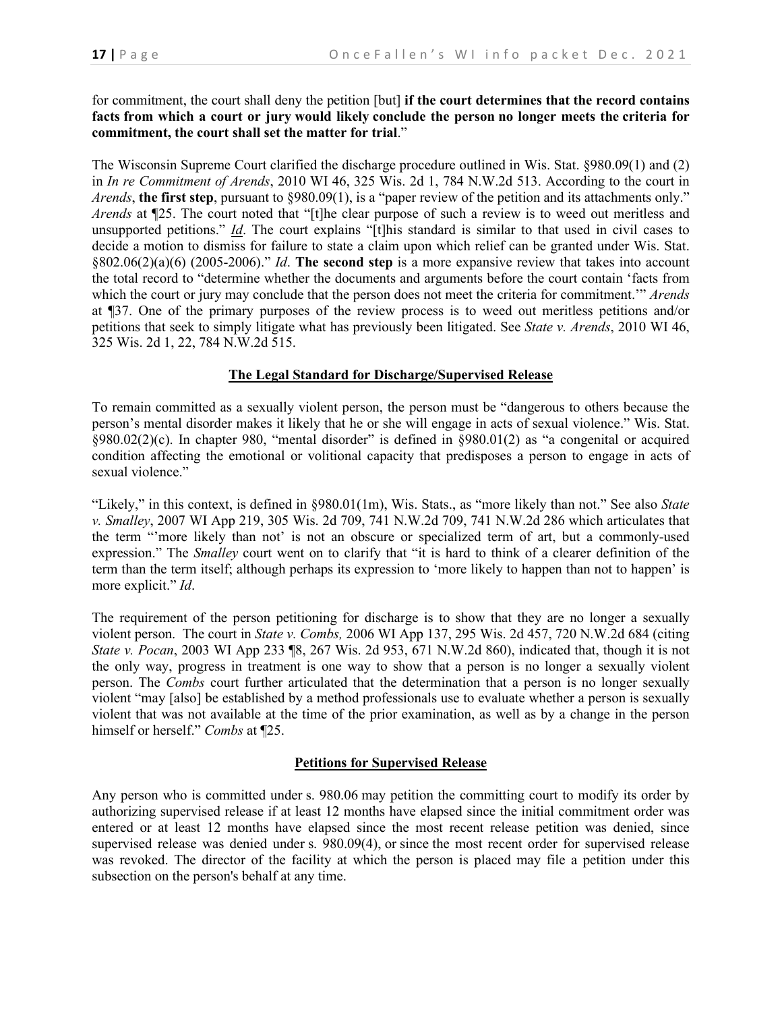for commitment, the court shall deny the petition [but] **if the court determines that the record contains facts from which a court or jury would likely conclude the person no longer meets the criteria for commitment, the court shall set the matter for trial**."

The Wisconsin Supreme Court clarified the discharge procedure outlined in Wis. Stat. §980.09(1) and (2) in *In re Commitment of Arends*, 2010 WI 46, 325 Wis. 2d 1, 784 N.W.2d 513. According to the court in *Arends*, **the first step**, pursuant to §980.09(1), is a "paper review of the petition and its attachments only." *Arends* at ¶25. The court noted that "[t]he clear purpose of such a review is to weed out meritless and unsupported petitions." *Id*. The court explains "[t]his standard is similar to that used in civil cases to decide a motion to dismiss for failure to state a claim upon which relief can be granted under Wis. Stat. §802.06(2)(a)(6) (2005-2006)." *Id*. **The second step** is a more expansive review that takes into account the total record to "determine whether the documents and arguments before the court contain 'facts from which the court or jury may conclude that the person does not meet the criteria for commitment.'" *Arends* at ¶37. One of the primary purposes of the review process is to weed out meritless petitions and/or petitions that seek to simply litigate what has previously been litigated. See *State v. Arends*, 2010 WI 46, 325 Wis. 2d 1, 22, 784 N.W.2d 515.

#### **The Legal Standard for Discharge/Supervised Release**

To remain committed as a sexually violent person, the person must be "dangerous to others because the person's mental disorder makes it likely that he or she will engage in acts of sexual violence." Wis. Stat.  $\S 980.02(2)$ (c). In chapter 980, "mental disorder" is defined in  $\S 980.01(2)$  as "a congenital or acquired condition affecting the emotional or volitional capacity that predisposes a person to engage in acts of sexual violence."

"Likely," in this context, is defined in §980.01(1m), Wis. Stats., as "more likely than not." See also *State v. Smalley*, 2007 WI App 219, 305 Wis. 2d 709, 741 N.W.2d 709, 741 N.W.2d 286 which articulates that the term "'more likely than not' is not an obscure or specialized term of art, but a commonly-used expression." The *Smalley* court went on to clarify that "it is hard to think of a clearer definition of the term than the term itself; although perhaps its expression to 'more likely to happen than not to happen' is more explicit." *Id*.

The requirement of the person petitioning for discharge is to show that they are no longer a sexually violent person. The court in *State v. Combs,* 2006 WI App 137, 295 Wis. 2d 457, 720 N.W.2d 684 (citing *State v. Pocan*, 2003 WI App 233 ¶8, 267 Wis. 2d 953, 671 N.W.2d 860), indicated that, though it is not the only way, progress in treatment is one way to show that a person is no longer a sexually violent person. The *Combs* court further articulated that the determination that a person is no longer sexually violent "may [also] be established by a method professionals use to evaluate whether a person is sexually violent that was not available at the time of the prior examination, as well as by a change in the person himself or herself." *Combs* at ¶25.

#### **Petitions for Supervised Release**

Any person who is committed under [s. 980.06](https://a.next.westlaw.com/Link/Document/FullText?findType=L&pubNum=1000260&cite=WIST980.06&originatingDoc=N812D9E50685B11E3A548FCA675085B3A&refType=LQ&originationContext=document&transitionType=DocumentItem&contextData=(sc.Category)) may petition the committing court to modify its order by authorizing supervised release if at least 12 months have elapsed since the initial commitment order was entered or at least 12 months have elapsed since the most recent release petition was denied, since supervised release was denied under [s. 980.09\(4\),](https://a.next.westlaw.com/Link/Document/FullText?findType=L&pubNum=1000260&cite=WIST980.09&originatingDoc=N812D9E50685B11E3A548FCA675085B3A&refType=SP&originationContext=document&transitionType=DocumentItem&contextData=(sc.Category)#co_pp_0bd500007a412) or since the most recent order for supervised release was revoked. The director of the facility at which the person is placed may file a petition under this subsection on the person's behalf at any time.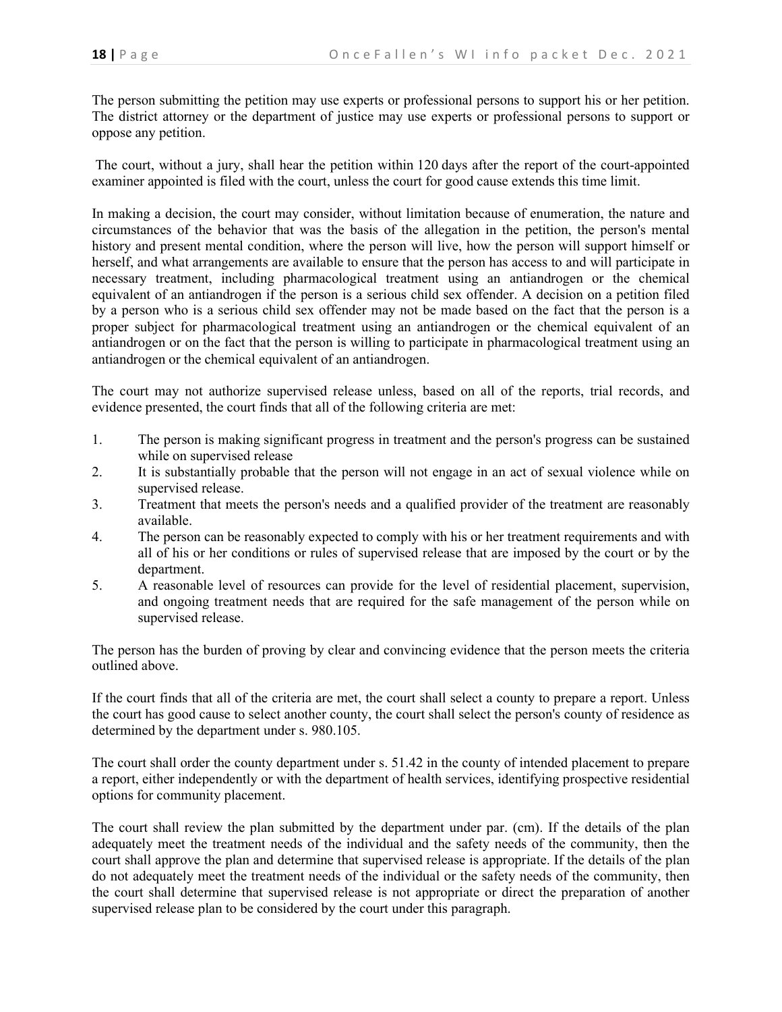The person submitting the petition may use experts or professional persons to support his or her petition. The district attorney or the department of justice may use experts or professional persons to support or oppose any petition.

The court, without a jury, shall hear the petition within 120 days after the report of the court-appointed examiner appointed is filed with the court, unless the court for good cause extends this time limit.

In making a decision, the court may consider, without limitation because of enumeration, the nature and circumstances of the behavior that was the basis of the allegation in the petition, the person's mental history and present mental condition, where the person will live, how the person will support himself or herself, and what arrangements are available to ensure that the person has access to and will participate in necessary treatment, including pharmacological treatment using an antiandrogen or the chemical equivalent of an antiandrogen if the person is a serious child sex offender. A decision on a petition filed by a person who is a serious child sex offender may not be made based on the fact that the person is a proper subject for pharmacological treatment using an antiandrogen or the chemical equivalent of an antiandrogen or on the fact that the person is willing to participate in pharmacological treatment using an antiandrogen or the chemical equivalent of an antiandrogen.

The court may not authorize supervised release unless, based on all of the reports, trial records, and evidence presented, the court finds that all of the following criteria are met:

- 1. The person is making significant progress in treatment and the person's progress can be sustained while on supervised release
- 2. It is substantially probable that the person will not engage in an act of sexual violence while on supervised release.
- 3. Treatment that meets the person's needs and a qualified provider of the treatment are reasonably available.
- 4. The person can be reasonably expected to comply with his or her treatment requirements and with all of his or her conditions or rules of supervised release that are imposed by the court or by the department.
- 5. A reasonable level of resources can provide for the level of residential placement, supervision, and ongoing treatment needs that are required for the safe management of the person while on supervised release.

The person has the burden of proving by clear and convincing evidence that the person meets the criteria outlined above.

If the court finds that all of the criteria are met, the court shall select a county to prepare a report. Unless the court has good cause to select another county, the court shall select the person's county of residence as determined by the department under [s. 980.105.](https://a.next.westlaw.com/Link/Document/FullText?findType=L&pubNum=1000260&cite=WIST980.105&originatingDoc=N812D9E50685B11E3A548FCA675085B3A&refType=LQ&originationContext=document&transitionType=DocumentItem&contextData=(sc.Category))

The court shall order the county department under s. 51.42 in the county of intended placement to prepare a report, either independently or with the department of health services, identifying prospective residential options for community placement.

The court shall review the plan submitted by the department under par. (cm). If the details of the plan adequately meet the treatment needs of the individual and the safety needs of the community, then the court shall approve the plan and determine that supervised release is appropriate. If the details of the plan do not adequately meet the treatment needs of the individual or the safety needs of the community, then the court shall determine that supervised release is not appropriate or direct the preparation of another supervised release plan to be considered by the court under this paragraph.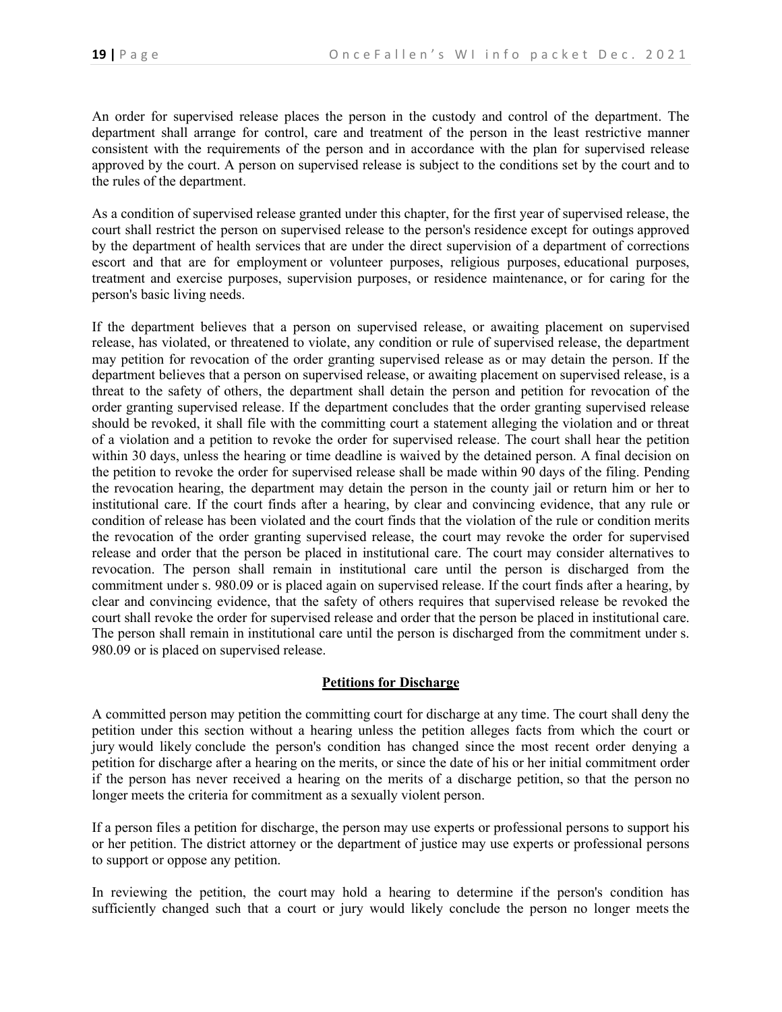An order for supervised release places the person in the custody and control of the department. The department shall arrange for control, care and treatment of the person in the least restrictive manner consistent with the requirements of the person and in accordance with the plan for supervised release approved by the court. A person on supervised release is subject to the conditions set by the court and to the rules of the department.

As a condition of supervised release granted under this chapter, for the first year of supervised release, the court shall restrict the person on supervised release to the person's residence except for outings approved by the department of health services that are under the direct supervision of a department of corrections escort and that are for employment or volunteer purposes, religious purposes, educational purposes, treatment and exercise purposes, supervision purposes, or residence maintenance, or for caring for the person's basic living needs.

If the department believes that a person on supervised release, or awaiting placement on supervised release, has violated, or threatened to violate, any condition or rule of supervised release, the department may petition for revocation of the order granting supervised release as or may detain the person. If the department believes that a person on supervised release, or awaiting placement on supervised release, is a threat to the safety of others, the department shall detain the person and petition for revocation of the order granting supervised release. If the department concludes that the order granting supervised release should be revoked, it shall file with the committing court a statement alleging the violation and or threat of a violation and a petition to revoke the order for supervised release. The court shall hear the petition within 30 days, unless the hearing or time deadline is waived by the detained person. A final decision on the petition to revoke the order for supervised release shall be made within 90 days of the filing. Pending the revocation hearing, the department may detain the person in the county jail or return him or her to institutional care. If the court finds after a hearing, by clear and convincing evidence, that any rule or condition of release has been violated and the court finds that the violation of the rule or condition merits the revocation of the order granting supervised release, the court may revoke the order for supervised release and order that the person be placed in institutional care. The court may consider alternatives to revocation. The person shall remain in institutional care until the person is discharged from the commitment under [s. 980.09](https://a.next.westlaw.com/Link/Document/FullText?findType=L&pubNum=1000260&cite=WIST980.09&originatingDoc=N812D9E50685B11E3A548FCA675085B3A&refType=LQ&originationContext=document&transitionType=DocumentItem&contextData=(sc.Category)) or is placed again on supervised release. If the court finds after a hearing, by clear and convincing evidence, that the safety of others requires that supervised release be revoked the court shall revoke the order for supervised release and order that the person be placed in institutional care. The person shall remain in institutional care until the person is discharged from the commitment under [s.](https://a.next.westlaw.com/Link/Document/FullText?findType=L&pubNum=1000260&cite=WIST980.09&originatingDoc=N812D9E50685B11E3A548FCA675085B3A&refType=LQ&originationContext=document&transitionType=DocumentItem&contextData=(sc.Category))  [980.09](https://a.next.westlaw.com/Link/Document/FullText?findType=L&pubNum=1000260&cite=WIST980.09&originatingDoc=N812D9E50685B11E3A548FCA675085B3A&refType=LQ&originationContext=document&transitionType=DocumentItem&contextData=(sc.Category)) or is placed on supervised release.

### **Petitions for Discharge**

A committed person may petition the committing court for discharge at any time. The court shall deny the petition under this section without a hearing unless the petition alleges facts from which the court or jury would likely conclude the person's condition has changed since the most recent order denying a petition for discharge after a hearing on the merits, or since the date of his or her initial commitment order if the person has never received a hearing on the merits of a discharge petition, so that the person no longer meets the criteria for commitment as a sexually violent person.

If a person files a petition for discharge, the person may use experts or professional persons to support his or her petition. The district attorney or the department of justice may use experts or professional persons to support or oppose any petition.

In reviewing the petition, the court may hold a hearing to determine if the person's condition has sufficiently changed such that a court or jury would likely conclude the person no longer meets the